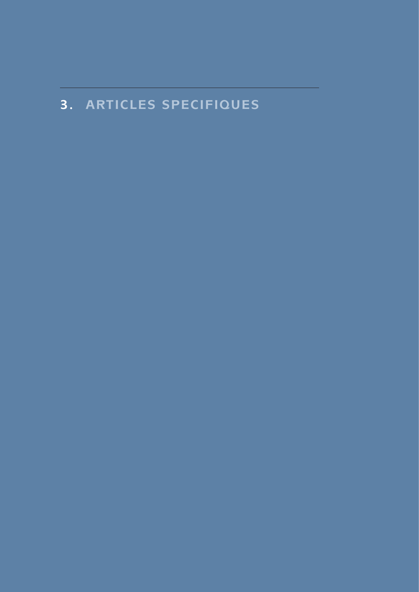# **3. ARTICLES SPECIFIQUES**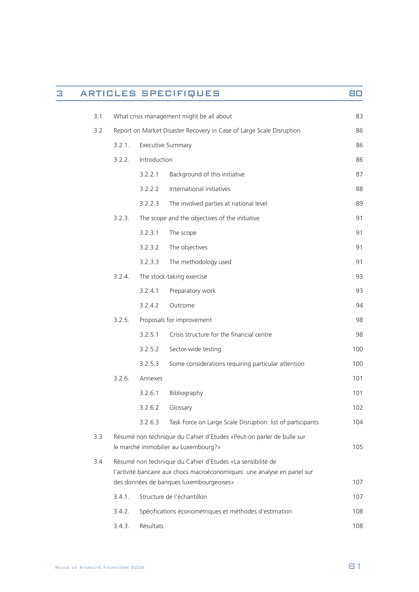| З |     |                                                                                                                                        |                                          | <b>ARTICLES SPECIFIQUES</b>                                                                                  | 80  |
|---|-----|----------------------------------------------------------------------------------------------------------------------------------------|------------------------------------------|--------------------------------------------------------------------------------------------------------------|-----|
|   | 3.1 | What crisis management might be all about                                                                                              |                                          |                                                                                                              | 83  |
|   | 3.2 |                                                                                                                                        |                                          | Report on Market Disaster Recovery in Case of Large Scale Disruption                                         | 86  |
|   |     | 3.2.1.                                                                                                                                 |                                          | <b>Executive Summary</b>                                                                                     | 86  |
|   |     | 3.2.2.                                                                                                                                 | Introduction                             |                                                                                                              | 86  |
|   |     |                                                                                                                                        | 3.2.2.1                                  | Background of this initiative                                                                                | 87  |
|   |     |                                                                                                                                        | 3.2.2.2                                  | International initiatives                                                                                    | 88  |
|   |     |                                                                                                                                        | 3.2.2.3                                  | The involved parties at national level                                                                       | 89  |
|   |     | 3.2.3.                                                                                                                                 |                                          | The scope and the objectives of the initiative                                                               | 91  |
|   |     |                                                                                                                                        | 3.2.3.1                                  | The scope                                                                                                    | 91  |
|   |     |                                                                                                                                        | 3.2.3.2                                  | The objectives                                                                                               | 91  |
|   |     |                                                                                                                                        | 3.2.3.3                                  | The methodology used                                                                                         | 91  |
|   |     | 3.2.4.                                                                                                                                 |                                          | The stock-taking exercise                                                                                    | 93  |
|   |     |                                                                                                                                        | 3.2.4.1                                  | Preparatory work                                                                                             | 93  |
|   |     |                                                                                                                                        | 3.2.4.2                                  | Outcome                                                                                                      | 94  |
|   |     | 3.2.5.                                                                                                                                 |                                          | Proposals for improvement                                                                                    | 98  |
|   |     |                                                                                                                                        | 3.2.5.1                                  | Crisis structure for the financial centre                                                                    | 98  |
|   |     |                                                                                                                                        | 3.2.5.2                                  | Sector-wide testing                                                                                          | 100 |
|   |     |                                                                                                                                        | 3.2.5.3                                  | Some considerations requiring particular attention                                                           | 100 |
|   |     | 3.2.6.                                                                                                                                 | Annexes                                  |                                                                                                              | 101 |
|   |     |                                                                                                                                        | 3.2.6.1                                  | Bibliography                                                                                                 | 101 |
|   |     |                                                                                                                                        | 3.2.6.2                                  | Glossary                                                                                                     | 102 |
|   |     |                                                                                                                                        | 3.2.6.3                                  | Task Force on Large Scale Disruption: list of participants                                                   | 104 |
|   | 3.3 |                                                                                                                                        |                                          | Résumé non technique du Cahier d'Etudes «Peut-on parler de bulle sur<br>le marché immobilier au Luxembourg?» | 105 |
|   | 3.4 | Résumé non technique du Cahier d'Etudes «La sensibilité de<br>l'activité bancaire aux chocs macroéconomiques: une analyse en panel sur |                                          |                                                                                                              |     |
|   |     |                                                                                                                                        | des données de banques luxembourgeoises» |                                                                                                              | 107 |
|   |     | 3.4.1.                                                                                                                                 |                                          | Structure de l'échantillon                                                                                   | 107 |
|   |     | 3.4.2.                                                                                                                                 |                                          | Spécifications économétriques et méthodes d'estimation                                                       | 108 |
|   |     | 3.4.3.                                                                                                                                 | Résultats                                |                                                                                                              | 108 |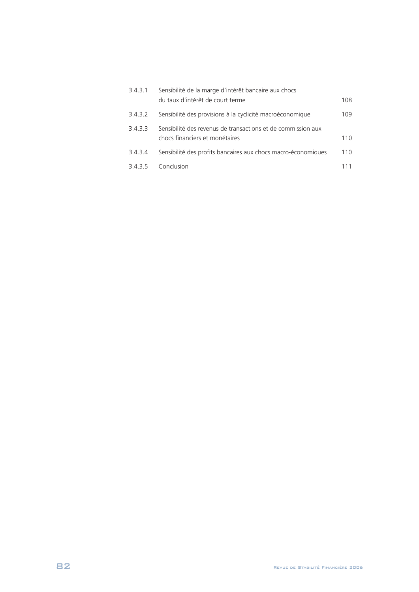| 3.4.3.1 | Sensibilité de la marge d'intérêt bancaire aux chocs          |      |  |
|---------|---------------------------------------------------------------|------|--|
|         | du taux d'intérêt de court terme                              | 108. |  |
| 3.4.3.2 | Sensibilité des provisions à la cyclicité macroéconomique     | 109  |  |
| 3.4.3.3 | Sensibilité des revenus de transactions et de commission aux  |      |  |
|         | chocs financiers et monétaires                                | 110  |  |
| 3.4.3.4 | Sensibilité des profits bancaires aux chocs macro-économiques | 110  |  |
| 3435    | Conclusion                                                    |      |  |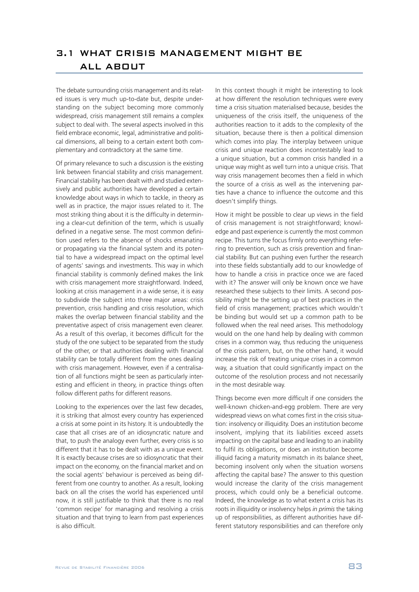The debate surrounding crisis management and its related issues is very much up-to-date but, despite understanding on the subject becoming more commonly widespread, crisis management still remains a complex subject to deal with. The several aspects involved in this field embrace economic, legal, administrative and political dimensions, all being to a certain extent both complementary and contradictory at the same time.

Of primary relevance to such a discussion is the existing link between financial stability and crisis management. Financial stability has been dealt with and studied extensively and public authorities have developed a certain knowledge about ways in which to tackle, in theory as well as in practice, the major issues related to it. The most striking thing about it is the difficulty in determining a clear-cut definition of the term, which is usually defined in a negative sense. The most common definition used refers to the absence of shocks emanating or propagating via the financial system and its potential to have a widespread impact on the optimal level of agents' savings and investments. This way in which financial stability is commonly defined makes the link with crisis management more straightforward. Indeed. looking at crisis management in a wide sense, it is easy to subdivide the subject into three major areas: crisis prevention, crisis handling and crisis resolution, which makes the overlap between financial stability and the preventative aspect of crisis management even clearer. As a result of this overlap, it becomes difficult for the study of the one subject to be separated from the study of the other, or that authorities dealing with financial stability can be totally different from the ones dealing with crisis management. However, even if a centralisation of all functions might be seen as particularly interesting and efficient in theory, in practice things often follow different paths for different reasons.

Looking to the experiences over the last few decades, it is striking that almost every country has experienced a crisis at some point in its history. It is undoubtedly the case that all crises are of an idiosyncratic nature and that, to push the analogy even further, every crisis is so different that it has to be dealt with as a unique event. It is exactly because crises are so idiosyncratic that their impact on the economy, on the financial market and on the social agents' behaviour is perceived as being different from one country to another. As a result, looking back on all the crises the world has experienced until now, it is still justifiable to think that there is no real 'common recipe' for managing and resolving a crisis situation and that trying to learn from past experiences is also difficult.

In this context though it might be interesting to look at how different the resolution techniques were every time a crisis situation materialised because, besides the uniqueness of the crisis itself, the uniqueness of the authorities reaction to it adds to the complexity of the situation, because there is then a political dimension which comes into play. The interplay between unique crisis and unique reaction does incontestably lead to a unique situation, but a common crisis handled in a unique way might as well turn into a unique crisis. That way crisis management becomes then a field in which the source of a crisis as well as the intervening parties have a chance to influence the outcome and this doesn't simplify things.

How it might be possible to clear up views in the field of crisis management is not straightforward; knowledge and past experience is currently the most common recipe. This turns the focus firmly onto everything referring to prevention, such as crisis prevention and financial stability. But can pushing even further the research into these fields substantially add to our knowledge of how to handle a crisis in practice once we are faced with it? The answer will only be known once we have researched these subjects to their limits. A second possibility might be the setting up of best practices in the field of crisis management; practices which wouldn't be binding but would set up a common path to be followed when the real need arises. This methodology would on the one hand help by dealing with common crises in a common way, thus reducing the uniqueness of the crisis pattern, but, on the other hand, it would increase the risk of treating unique crises in a common way, a situation that could significantly impact on the outcome of the resolution process and not necessarily in the most desirable way.

Things become even more difficult if one considers the well-known chicken-and-egg problem. There are very widespread views on what comes first in the crisis situation: insolvency or illiquidity. Does an institution become insolvent, implying that its liabilities exceed assets impacting on the capital base and leading to an inability to fulfil its obligations, or does an institution become illiquid facing a maturity mismatch in its balance sheet, becoming insolvent only when the situation worsens affecting the capital base? The answer to this question would increase the clarity of the crisis management process, which could only be a beneficial outcome. Indeed, the knowledge as to what extent a crisis has its roots in illiquidity or insolvency helps *in primis* the taking up of responsibilities, as different authorities have different statutory responsibilities and can therefore only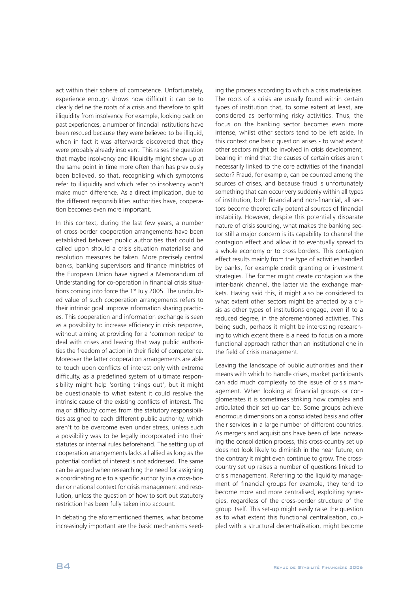act within their sphere of competence. Unfortunately, experience enough shows how difficult it can be to clearly define the roots of a crisis and therefore to split illiquidity from insolvency. For example, looking back on past experiences, a number of financial institutions have been rescued because they were believed to be illiquid, when in fact it was afterwards discovered that they were probably already insolvent. This raises the question that maybe insolvency and illiquidity might show up at the same point in time more often than has previously been believed, so that, recognising which symptoms refer to illiquidity and which refer to insolvency won't make much difference. As a direct implication, due to the different responsibilities authorities have, cooperation becomes even more important.

In this context, during the last few years, a number of cross-border cooperation arrangements have been established between public authorities that could be called upon should a crisis situation materialise and resolution measures be taken. More precisely central banks, banking supervisors and finance ministries of the European Union have signed a Memorandum of Understanding for co-operation in financial crisis situations coming into force the 1<sup>st</sup> July 2005. The undoubted value of such cooperation arrangements refers to their intrinsic goal: improve information sharing practices. This cooperation and information exchange is seen as a possibility to increase efficiency in crisis response, without aiming at providing for a 'common recipe' to deal with crises and leaving that way public authorities the freedom of action in their field of competence. Moreover the latter cooperation arrangements are able to touch upon conflicts of interest only with extreme difficulty, as a predefined system of ultimate responsibility might help 'sorting things out', but it might be questionable to what extent it could resolve the intrinsic cause of the existing conflicts of interest. The major difficulty comes from the statutory responsibilities assigned to each different public authority, which aren't to be overcome even under stress, unless such a possibility was to be legally incorporated into their statutes or internal rules beforehand. The setting up of cooperation arrangements lacks all allied as long as the potential conflict of interest is not addressed. The same can be argued when researching the need for assigning a coordinating role to a specific authority in a cross-border or national context for crisis management and resolution, unless the question of how to sort out statutory restriction has been fully taken into account.

In debating the aforementioned themes, what become increasingly important are the basic mechanisms seeding the process according to which a crisis materialises. The roots of a crisis are usually found within certain types of institution that, to some extent at least, are considered as performing risky activities. Thus, the focus on the banking sector becomes even more intense, whilst other sectors tend to be left aside. In this context one basic question arises - to what extent other sectors might be involved in crisis development, bearing in mind that the causes of certain crises aren't necessarily linked to the core activities of the financial sector? Fraud, for example, can be counted among the sources of crises, and because fraud is unfortunately something that can occur very suddenly within all types of institution, both financial and non-financial, all sectors become theoretically potential sources of financial instability. However, despite this potentially disparate nature of crisis sourcing, what makes the banking sector still a major concern is its capability to channel the contagion effect and allow it to eventually spread to a whole economy or to cross borders. This contagion effect results mainly from the type of activities handled by banks, for example credit granting or investment strategies. The former might create contagion via the inter-bank channel, the latter via the exchange markets. Having said this, it might also be considered to what extent other sectors might be affected by a crisis as other types of institutions engage, even if to a reduced degree, in the aforementioned activities. This being such, perhaps it might be interesting researching to which extent there is a need to focus on a more functional approach rather than an institutional one in the field of crisis management.

Leaving the landscape of public authorities and their means with which to handle crises, market participants can add much complexity to the issue of crisis management. When looking at financial groups or conglomerates it is sometimes striking how complex and articulated their set up can be. Some groups achieve enormous dimensions on a consolidated basis and offer their services in a large number of different countries. As mergers and acquisitions have been of late increasing the consolidation process, this cross-country set up does not look likely to diminish in the near future, on the contrary it might even continue to grow. The crosscountry set up raises a number of questions linked to crisis management. Referring to the liquidity management of financial groups for example, they tend to become more and more centralised, exploiting synergies, regardless of the cross-border structure of the group itself. This set-up might easily raise the question as to what extent this functional centralisation, coupled with a structural decentralisation, might become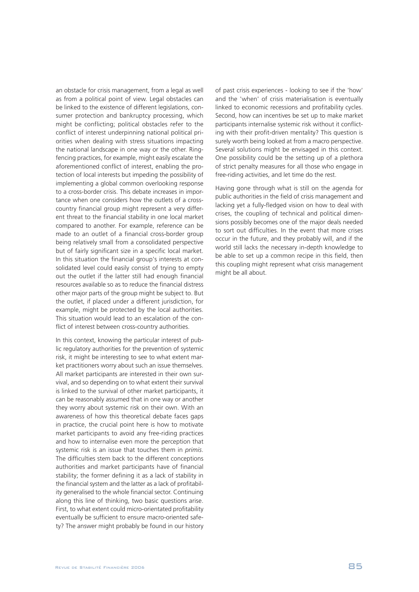an obstacle for crisis management, from a legal as well as from a political point of view. Legal obstacles can be linked to the existence of different legislations, consumer protection and bankruptcy processing, which might be conflicting; political obstacles refer to the conflict of interest underpinning national political priorities when dealing with stress situations impacting the national landscape in one way or the other. Ringfencing practices, for example, might easily escalate the aforementioned conflict of interest, enabling the protection of local interests but impeding the possibility of implementing a global common overlooking response to a cross-border crisis. This debate increases in importance when one considers how the outlets of a crosscountry financial group might represent a very different threat to the financial stability in one local market compared to another. For example, reference can be made to an outlet of a financial cross-border group being relatively small from a consolidated perspective but of fairly significant size in a specific local market. In this situation the financial group's interests at consolidated level could easily consist of trying to empty out the outlet if the latter still had enough financial resources available so as to reduce the financial distress other major parts of the group might be subject to. But the outlet, if placed under a different jurisdiction, for example, might be protected by the local authorities. This situation would lead to an escalation of the conflict of interest between cross-country authorities.

In this context, knowing the particular interest of public regulatory authorities for the prevention of systemic risk, it might be interesting to see to what extent market practitioners worry about such an issue themselves. All market participants are interested in their own survival, and so depending on to what extent their survival is linked to the survival of other market participants, it can be reasonably assumed that in one way or another they worry about systemic risk on their own. With an awareness of how this theoretical debate faces gaps in practice, the crucial point here is how to motivate market participants to avoid any free-riding practices and how to internalise even more the perception that systemic risk is an issue that touches them in *primis*. The difficulties stem back to the different conceptions authorities and market participants have of financial stability; the former defining it as a lack of stability in the financial system and the latter as a lack of profitability generalised to the whole financial sector. Continuing along this line of thinking, two basic questions arise. First, to what extent could micro-orientated profitability eventually be sufficient to ensure macro-oriented safety? The answer might probably be found in our history of past crisis experiences - looking to see if the 'how' and the 'when' of crisis materialisation is eventually linked to economic recessions and profitability cycles. Second, how can incentives be set up to make market participants internalise systemic risk without it conflicting with their profit-driven mentality? This question is surely worth being looked at from a macro perspective. Several solutions might be envisaged in this context. One possibility could be the setting up of a plethora of strict penalty measures for all those who engage in free-riding activities, and let time do the rest.

Having gone through what is still on the agenda for public authorities in the field of crisis management and lacking yet a fully-fledged vision on how to deal with crises, the coupling of technical and political dimensions possibly becomes one of the major deals needed to sort out difficulties. In the event that more crises occur in the future, and they probably will, and if the world still lacks the necessary in-depth knowledge to be able to set up a common recipe in this field, then this coupling might represent what crisis management might be all about.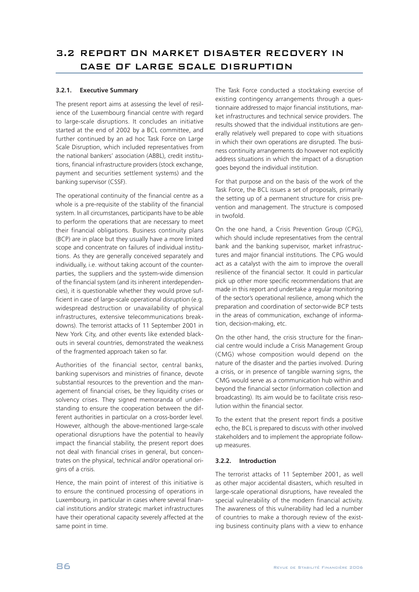## **3.2.1. Executive Summary**

The present report aims at assessing the level of resilience of the Luxembourg financial centre with regard to large-scale disruptions. It concludes an initiative started at the end of 2002 by a BCL committee, and further continued by an ad hoc Task Force on Large Scale Disruption, which included representatives from the national bankers' association (ABBL), credit institutions, financial infrastructure providers (stock exchange, payment and securities settlement systems) and the banking supervisor (CSSF).

The operational continuity of the financial centre as a whole is a pre-requisite of the stability of the financial system. In all circumstances, participants have to be able to perform the operations that are necessary to meet their financial obligations. Business continuity plans (BCP) are in place but they usually have a more limited scope and concentrate on failures of individual institutions. As they are generally conceived separately and individually, i.e. without taking account of the counterparties, the suppliers and the system-wide dimension of the financial system (and its inherent interdependencies), it is questionable whether they would prove sufficient in case of large-scale operational disruption (e.g. widespread destruction or unavailability of physical infrastructures, extensive telecommunications breakdowns). The terrorist attacks of 11 September 2001 in New York City, and other events like extended blackouts in several countries, demonstrated the weakness of the fragmented approach taken so far.

Authorities of the financial sector, central banks, banking supervisors and ministries of finance, devote substantial resources to the prevention and the management of financial crises, be they liquidity crises or solvency crises. They signed memoranda of understanding to ensure the cooperation between the different authorities in particular on a cross-border level. However, although the above-mentioned large-scale operational disruptions have the potential to heavily impact the financial stability, the present report does not deal with financial crises in general, but concentrates on the physical, technical and/or operational origins of a crisis.

Hence, the main point of interest of this initiative is to ensure the continued processing of operations in Luxembourg, in particular in cases where several financial institutions and/or strategic market infrastructures have their operational capacity severely affected at the same point in time.

The Task Force conducted a stocktaking exercise of existing contingency arrangements through a questionnaire addressed to major financial institutions, market infrastructures and technical service providers. The results showed that the individual institutions are generally relatively well prepared to cope with situations in which their own operations are disrupted. The business continuity arrangements do however not explicitly address situations in which the impact of a disruption goes beyond the individual institution.

For that purpose and on the basis of the work of the Task Force, the BCL issues a set of proposals, primarily the setting up of a permanent structure for crisis prevention and management. The structure is composed in twofold.

On the one hand, a Crisis Prevention Group (CPG), which should include representatives from the central bank and the banking supervisor, market infrastructures and major financial institutions. The CPG would act as a catalyst with the aim to improve the overall resilience of the financial sector. It could in particular pick up other more specific recommendations that are made in this report and undertake a regular monitoring of the sector's operational resilience, among which the preparation and coordination of sector-wide BCP tests in the areas of communication, exchange of information, decision-making, etc.

On the other hand, the crisis structure for the financial centre would include a Crisis Management Group (CMG) whose composition would depend on the nature of the disaster and the parties involved. During a crisis, or in presence of tangible warning signs, the CMG would serve as a communication hub within and beyond the financial sector (information collection and broadcasting). Its aim would be to facilitate crisis resolution within the financial sector.

To the extent that the present report finds a positive echo, the BCL is prepared to discuss with other involved stakeholders and to implement the appropriate followup measures.

## **3.2.2. Introduction**

The terrorist attacks of 11 September 2001, as well as other major accidental disasters, which resulted in large-scale operational disruptions, have revealed the special vulnerability of the modern financial activity. The awareness of this vulnerability had led a number of countries to make a thorough review of the existing business continuity plans with a view to enhance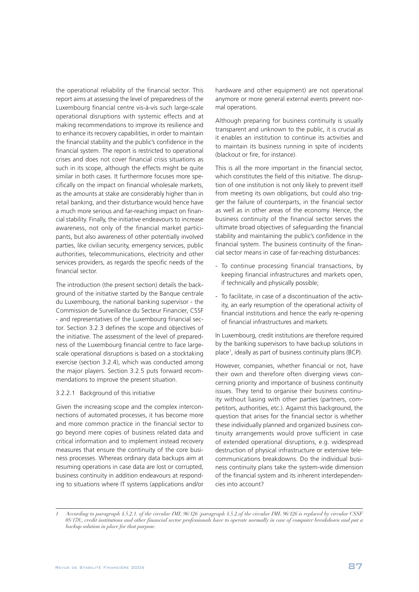the operational reliability of the financial sector. This report aims at assessing the level of preparedness of the Luxembourg financial centre vis-à-vis such large-scale operational disruptions with systemic effects and at making recommendations to improve its resilience and to enhance its recovery capabilities, in order to maintain the financial stability and the public's confidence in the financial system. The report is restricted to operational crises and does not cover financial crisis situations as such in its scope, although the effects might be quite similar in both cases. It furthermore focuses more specifically on the impact on financial wholesale markets, as the amounts at stake are considerably higher than in retail banking, and their disturbance would hence have a much more serious and far-reaching impact on financial stability. Finally, the initiative endeavours to increase awareness, not only of the financial market participants, but also awareness of other potentially involved parties, like civilian security, emergency services, public authorities, telecommunications, electricity and other services providers, as regards the specific needs of the financial sector.

The introduction (the present section) details the background of the initiative started by the Banque centrale du Luxembourg, the national banking supervisor - the Commission de Surveillance du Secteur Financier, CSSF - and representatives of the Luxembourg financial sector. Section 3.2.3 defines the scope and objectives of the initiative. The assessment of the level of preparedness of the Luxembourg financial centre to face largescale operational disruptions is based on a stocktaking exercise (section 3.2.4), which was conducted among the major players. Section 3.2.5 puts forward recommendations to improve the present situation.

#### 3.2.2.1 Background of this initiative

Given the increasing scope and the complex interconnections of automated processes, it has become more and more common practice in the financial sector to go beyond mere copies of business related data and critical information and to implement instead recovery measures that ensure the continuity of the core business processes. Whereas ordinary data backups aim at resuming operations in case data are lost or corrupted, business continuity in addition endeavours at responding to situations where IT systems (applications and/or

hardware and other equipment) are not operational anymore or more general external events prevent normal operations.

Although preparing for business continuity is usually transparent and unknown to the public, it is crucial as it enables an institution to continue its activities and to maintain its business running in spite of incidents (blackout or fire, for instance).

This is all the more important in the financial sector, which constitutes the field of this initiative. The disruption of one institution is not only likely to prevent itself from meeting its own obligations, but could also trigger the failure of counterparts, in the financial sector as well as in other areas of the economy. Hence, the business continuity of the financial sector serves the ultimate broad objectives of safeguarding the financial stability and maintaining the public's confidence in the financial system. The business continuity of the financial sector means in case of far-reaching disturbances:

- To continue processing financial transactions, by keeping financial infrastructures and markets open, if technically and physically possible;
- To facilitate, in case of a discontinuation of the activity, an early resumption of the operational activity of financial institutions and hence the early re-opening of financial infrastructures and markets.

In Luxembourg, credit institutions are therefore required by the banking supervisors to have backup solutions in place 1 , ideally as part of business continuity plans (BCP).

However, companies, whether financial or not, have their own and therefore often diverging views concerning priority and importance of business continuity issues. They tend to organise their business continuity without liasing with other parties (partners, competitors, authorities, etc.). Against this background, the question that arises for the financial sector is whether these individually planned and organized business continuity arrangements would prove sufficient in case of extended operational disruptions, e.g. widespread destruction of physical infrastructure or extensive telecommunications breakdowns. Do the individual business continuity plans take the system-wide dimension of the financial system and its inherent interdependencies into account?

*<sup>1</sup> According to paragraph 4.5.2.1. of the circular IML 96/126 (paragraph 4.5.2.of the circular IML 96/126 is replaced by circular CSSF 05/178), credit institutions and other financial sector professionals have to operate normally in case of computer breakdown and put a backup solution in place for that purpose.*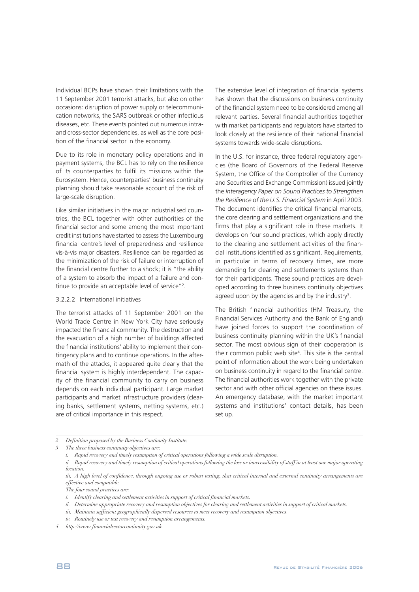Individual BCPs have shown their limitations with the 11 September 2001 terrorist attacks, but also on other occasions: disruption of power supply or telecommunication networks, the SARS outbreak or other infectious diseases, etc. These events pointed out numerous intraand cross-sector dependencies, as well as the core position of the financial sector in the economy.

Due to its role in monetary policy operations and in payment systems, the BCL has to rely on the resilience of its counterparties to fulfil its missions within the Eurosystem. Hence, counterparties' business continuity planning should take reasonable account of the risk of large-scale disruption.

Like similar initiatives in the major industrialised countries, the BCL together with other authorities of the financial sector and some among the most important credit institutions have started to assess the Luxembourg financial centre's level of preparedness and resilience vis-à-vis major disasters. Resilience can be regarded as the minimization of the risk of failure or interruption of the financial centre further to a shock; it is "the ability of a system to absorb the impact of a failure and continue to provide an acceptable level of service"<sup>2</sup>.

#### 3.2.2.2 International initiatives

The terrorist attacks of 11 September 2001 on the World Trade Centre in New York City have seriously impacted the financial community. The destruction and the evacuation of a high number of buildings affected the financial institutions' ability to implement their contingency plans and to continue operations. In the aftermath of the attacks, it appeared quite clearly that the financial system is highly interdependent. The capacity of the financial community to carry on business depends on each individual participant. Large market participants and market infrastructure providers (clearing banks, settlement systems, netting systems, etc.) are of critical importance in this respect.

The extensive level of integration of financial systems has shown that the discussions on business continuity of the financial system need to be considered among all relevant parties. Several financial authorities together with market participants and regulators have started to look closely at the resilience of their national financial systems towards wide-scale disruptions.

In the U.S. for instance, three federal regulatory agencies (the Board of Governors of the Federal Reserve System, the Office of the Comptroller of the Currency and Securities and Exchange Commission) issued jointly the *Interagency Paper on Sound Practices to Strengthen the Resilience of the U.S. Financial System* in April 2003. The document identifies the critical financial markets, the core clearing and settlement organizations and the firms that play a significant role in these markets. It develops on four sound practices, which apply directly to the clearing and settlement activities of the financial institutions identified as significant. Requirements, in particular in terms of recovery times, are more demanding for clearing and settlements systems than for their participants. These sound practices are developed according to three business continuity objectives agreed upon by the agencies and by the industry<sup>3</sup>.

The British financial authorities (HM Treasury, the Financial Services Authority and the Bank of England) have joined forces to support the coordination of business continuity planning within the UK's financial sector. The most obvious sign of their cooperation is their common public web site 4 . This site is the central point of information about the work being undertaken on business continuity in regard to the financial centre. The financial authorities work together with the private sector and with other official agencies on these issues. An emergency database, with the market important systems and institutions' contact details, has been set up.

*<sup>2</sup> Definition proposed by the Business Continuity Institute.*

*<sup>3</sup> The three business continuity objectives are:*

*i. Rapid recovery and timely resumption of critical operations following a wide scale disruption.*

*ii. Rapid recovery and timely resumption of critical operations following the loss or inaccessibility of staff in at least one major operating location.*

*iii. A high level of confidence, through ongoing use or robust testing, that critical internal and external continuity arrangements are effective and compatible.*

*The four sound practices are:*

*i. Identify clearing and settlement activities in support of critical financial markets.*

*ii. Determine appropriate recovery and resumption objectives for clearing and settlement activities in support of critical markets.*

*iii. Maintain sufficient geographically dispersed resources to meet recovery and resumption objectives.*

*iv. Routinely use or test recovery and resumption arrangements.*

*<sup>4</sup> http://www.financialsectorcontinuity.gov.uk*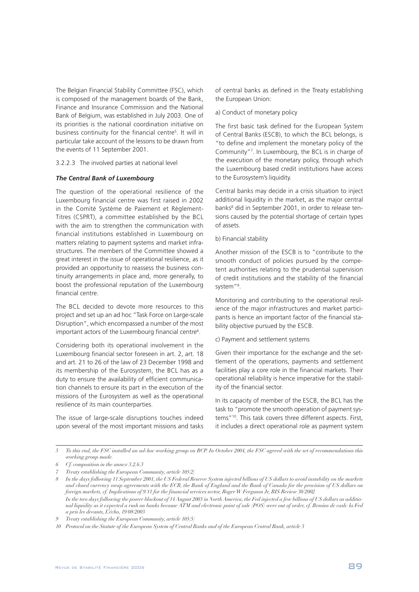The Belgian Financial Stability Committee (FSC), which is composed of the management boards of the Bank, Finance and Insurance Commission and the National Bank of Belgium, was established in July 2003. One of its priorities is the national coordination initiative on business continuity for the financial centre 5 . It will in particular take account of the lessons to be drawn from the events of 11 September 2001.

3.2.2.3 The involved parties at national level

#### *The Central Bank of Luxembourg*

The question of the operational resilience of the Luxembourg financial centre was first raised in 2002 in the Comité Système de Paiement et Règlement-Titres (CSPRT), a committee established by the BCL with the aim to strengthen the communication with financial institutions established in Luxembourg on matters relating to payment systems and market infrastructures. The members of the Committee showed a great interest in the issue of operational resilience, as it provided an opportunity to reassess the business continuity arrangements in place and, more generally, to boost the professional reputation of the Luxembourg financial centre.

The BCL decided to devote more resources to this project and set up an ad hoc "Task Force on Large-scale Disruption", which encompassed a number of the most important actors of the Luxembourg financial centre 6 .

Considering both its operational involvement in the Luxembourg financial sector foreseen in art. 2, art. 18 and art. 21 to 26 of the law of 23 December 1998 and its membership of the Eurosystem, the BCL has as a duty to ensure the availability of efficient communication channels to ensure its part in the execution of the missions of the Eurosystem as well as the operational resilience of its main counterparties.

The issue of large-scale disruptions touches indeed upon several of the most important missions and tasks

of central banks as defined in the Treaty establishing the European Union:

a) Conduct of monetary policy

The first basic task defined for the European System of Central Banks (ESCB), to which the BCL belongs, is "to define and implement the monetary policy of the Community" 7 . In Luxembourg, the BCL is in charge of the execution of the monetary policy, through which the Luxembourg based credit institutions have access to the Eurosystem's liquidity.

Central banks may decide in a crisis situation to inject additional liquidity in the market, as the major central banks <sup>8</sup> did in September 2001, in order to release tensions caused by the potential shortage of certain types of assets.

b) Financial stability

Another mission of the ESCB is to "contribute to the smooth conduct of policies pursued by the competent authorities relating to the prudential supervision of credit institutions and the stability of the financial system"<sup>9</sup>.

Monitoring and contributing to the operational resilience of the major infrastructures and market participants is hence an important factor of the financial stability objective pursued by the ESCB.

c) Payment and settlement systems

Given their importance for the exchange and the settlement of the operations, payments and settlement facilities play a core role in the financial markets. Their operational reliability is hence imperative for the stability of the financial sector.

In its capacity of member of the ESCB, the BCL has the task to "promote the smooth operation of payment systems" 10 . This task covers three different aspects. First, it includes a direct operational role as payment system

<sup>5</sup> To this end, the FSC installed an ad-hoc working group on BCP. In October 2004, the FSC agreed with the set of recommendations this *working group made.*

*<sup>6</sup> Cf. composition in the annex 3.2.6.3* 

*<sup>7</sup> Treaty establishing the European Community, article 105(2)*

<sup>8</sup> In the days following 11 September 2001, the US Federal Reserve System injected billions of US dollars to avoid instability on the markets and closed currency swap agreements with the ECB, the Bank of England and the Bank of Canada for the provision of US dollars on *foreign markets, cf. Implications of 9/11 for the financial services sector, Roger W Ferguson Jr, BIS Review 30/2002* In the two days following the power blackout of 14 August 2003 in North America, the Fed injected a few billions of US dollars as additional liquidity as it expected a rush on banks because ATM and electronic point of sale (POS) were out of order, cf. Besoins de cash: la Fed *a pris les devants, L'écho, 19/08/2003*

*<sup>9</sup> Treaty establishing the European Community, article 105(5)*

*<sup>10</sup> Protocol on the Statute of the European System of Central Banks and of the European Central Bank, article 3*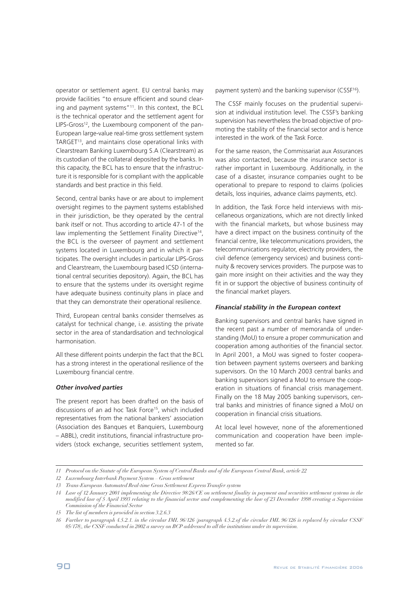operator or settlement agent. EU central banks may provide facilities "to ensure efficient and sound clearing and payment systems" 11 . In this context, the BCL is the technical operator and the settlement agent for LIPS-Gross<sup>12</sup>, the Luxembourg component of the pan-European large-value real-time gross settlement system TARGET<sup>13</sup> , and maintains close operational links with Clearstream Banking Luxembourg S.A (Clearstream) as its custodian of the collateral deposited by the banks. In this capacity, the BCL has to ensure that the infrastructure it is responsible for is compliant with the applicable standards and best practice in this field.

Second, central banks have or are about to implement oversight regimes to the payment systems established in their jurisdiction, be they operated by the central bank itself or not. Thus according to article 47-1 of the law implementing the Settlement Finality Directive<sup>14</sup>, the BCL is the overseer of payment and settlement systems located in Luxembourg and in which it participates. The oversight includes in particular LIPS-Gross and Clearstream, the Luxembourg based ICSD (international central securities depository). Again, the BCL has to ensure that the systems under its oversight regime have adequate business continuity plans in place and that they can demonstrate their operational resilience.

Third, European central banks consider themselves as catalyst for technical change, i.e. assisting the private sector in the area of standardisation and technological harmonisation.

All these different points underpin the fact that the BCL has a strong interest in the operational resilience of the Luxembourg financial centre.

#### *Other involved parties*

The present report has been drafted on the basis of discussions of an ad hoc Task Force 15 , which included representatives from the national bankers' association (Association des Banques et Banquiers, Luxembourg – ABBL), credit institutions, financial infrastructure providers (stock exchange, securities settlement system,

payment system) and the banking supervisor (CSSF<sup>16</sup>).

The CSSF mainly focuses on the prudential supervision at individual institution level. The CSSF's banking supervision has nevertheless the broad objective of promoting the stability of the financial sector and is hence interested in the work of the Task Force.

For the same reason, the Commissariat aux Assurances was also contacted, because the insurance sector is rather important in Luxembourg. Additionally, in the case of a disaster, insurance companies ought to be operational to prepare to respond to claims (policies details, loss inquiries, advance claims payments, etc).

In addition, the Task Force held interviews with miscellaneous organizations, which are not directly linked with the financial markets, but whose business may have a direct impact on the business continuity of the financial centre, like telecommunications providers, the telecommunications regulator, electricity providers, the civil defence (emergency services) and business continuity & recovery services providers. The purpose was to gain more insight on their activities and the way they fit in or support the objective of business continuity of the financial market players.

## *Financial stability in the European context*

Banking supervisors and central banks have signed in the recent past a number of memoranda of understanding (MoU) to ensure a proper communication and cooperation among authorities of the financial sector. In April 2001, a MoU was signed to foster cooperation between payment systems overseers and banking supervisors. On the 10 March 2003 central banks and banking supervisors signed a MoU to ensure the cooperation in situations of financial crisis management. Finally on the 18 May 2005 banking supervisors, central banks and ministries of finance signed a MoU on cooperation in financial crisis situations.

At local level however, none of the aforementioned communication and cooperation have been implemented so far.

*<sup>11</sup> Protocol on the Statute of the European System of Central Banks and of the European Central Bank, article 22*

*<sup>12</sup> Luxembourg Interbank Payment System – Gross settlement*

*<sup>13</sup> Trans-European Automated Real-time Gross Settlement Express Transfer system*

*<sup>14</sup> Law of 12 January 2001 implementing the Directive 98/26/CE on settlement finality in payment and securities settlement systems in the modified law of 5 April 1993 relating to the financial sector and complementing the law of 23 December 1998 creating a Supervision Commission of the Financial Sector*

*<sup>15</sup> The list of members is provided in section 3.2.6.3* 

*<sup>16</sup> Further to paragraph 4.5.2.1. in the circular IML 96/126 (paragraph 4.5.2.of the circular IML 96/126 is replaced by circular CSSF 05/178), the CSSF conducted in 2002 a survey on BCP addressed to all the institutions under its supervision.*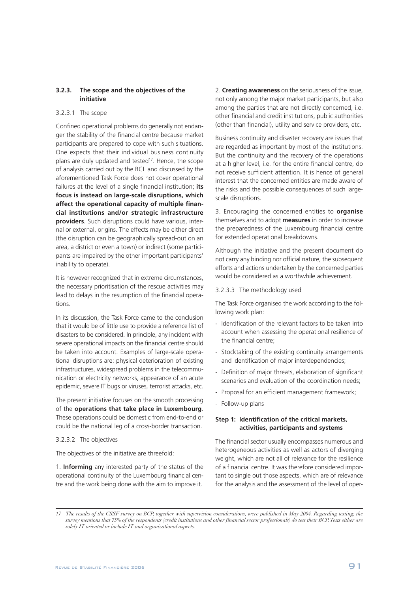## **3.2.3. The scope and the objectives of the initiative**

#### 3.2.3.1 The scope

Confined operational problems do generally not endanger the stability of the financial centre because market participants are prepared to cope with such situations. One expects that their individual business continuity plans are duly updated and tested<sup>17</sup>. Hence, the scope of analysis carried out by the BCL and discussed by the aforementioned Task Force does not cover operational failures at the level of a single financial institution; **its focus is instead on large-scale disruptions, which affect the operational capacity of multiple financial institutions and/or strategic infrastructure providers***.* Such disruptions could have various, internal or external, origins. The effects may be either direct (the disruption can be geographically spread-out on an area, a district or even a town) or indirect (some participants are impaired by the other important participants' inability to operate).

It is however recognized that in extreme circumstances, the necessary prioritisation of the rescue activities may lead to delays in the resumption of the financial operations.

In its discussion, the Task Force came to the conclusion that it would be of little use to provide a reference list of disasters to be considered. In principle, any incident with severe operational impacts on the financial centre should be taken into account. Examples of large-scale operational disruptions are: physical deterioration of existing infrastructures, widespread problems in the telecommunication or electricity networks, appearance of an acute epidemic, severe IT bugs or viruses, terrorist attacks, etc.

The present initiative focuses on the smooth processing of the **operations that take place in Luxembourg**. These operations could be domestic from end-to-end or could be the national leg of a cross-border transaction.

#### 3.2.3.2 The objectives

The objectives of the initiative are threefold:

1. **Informing** any interested party of the status of the operational continuity of the Luxembourg financial centre and the work being done with the aim to improve it.

2. **Creating awareness** on the seriousness of the issue, not only among the major market participants, but also among the parties that are not directly concerned, i.e. other financial and credit institutions, public authorities (other than financial), utility and service providers, etc.

Business continuity and disaster recovery are issues that are regarded as important by most of the institutions. But the continuity and the recovery of the operations at a higher level, i.e. for the entire financial centre, do not receive sufficient attention. It is hence of general interest that the concerned entities are made aware of the risks and the possible consequences of such largescale disruptions.

3. Encouraging the concerned entities to **organise** themselves and to adopt **measures** in order to increase the preparedness of the Luxembourg financial centre for extended operational breakdowns.

Although the initiative and the present document do not carry any binding nor official nature, the subsequent efforts and actions undertaken by the concerned parties would be considered as a worthwhile achievement.

## 3.2.3.3 The methodology used

The Task Force organised the work according to the following work plan:

- Identification of the relevant factors to be taken into account when assessing the operational resilience of the financial centre;
- Stocktaking of the existing continuity arrangements and identification of major interdependencies;
- Definition of major threats, elaboration of significant scenarios and evaluation of the coordination needs;
- Proposal for an efficient management framework;
- Follow-up plans

## **Step 1: Identification of the critical markets, activities, participants and systems**

The financial sector usually encompasses numerous and heterogeneous activities as well as actors of diverging weight, which are not all of relevance for the resilience of a financial centre. It was therefore considered important to single out those aspects, which are of relevance for the analysis and the assessment of the level of oper-

*<sup>17</sup> The results of the CSSF survey on BCP, together with supervision considerations, were published in May 2004. Regarding testing, the survey mentions that 75% of the respondents (credit institutions and other financial sector professionals) do test their BCP.Tests either are solely IT oriented or include IT and organizational aspects.*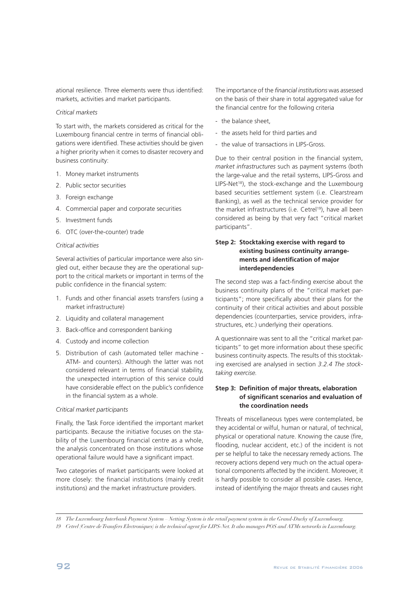ational resilience. Three elements were thus identified: markets, activities and market participants.

#### *Critical markets*

To start with, the markets considered as critical for the Luxembourg financial centre in terms of financial obligations were identified. These activities should be given a higher priority when it comes to disaster recovery and business continuity:

- 1. Money market instruments
- 2. Public sector securities
- 3. Foreign exchange
- 4. Commercial paper and corporate securities
- 5. Investment funds
- 6. OTC (over-the-counter) trade

## *Critical activities*

Several activities of particular importance were also singled out, either because they are the operational support to the critical markets or important in terms of the public confidence in the financial system:

- 1. Funds and other financial assets transfers (using a market infrastructure)
- 2. Liquidity and collateral management
- 3. Back-office and correspondent banking
- 4. Custody and income collection
- 5. Distribution of cash (automated teller machine ATM- and counters). Although the latter was not considered relevant in terms of financial stability, the unexpected interruption of this service could have considerable effect on the public's confidence in the financial system as a whole.

#### *Critical market participants*

Finally, the Task Force identified the important market participants. Because the initiative focuses on the stability of the Luxembourg financial centre as a whole, the analysis concentrated on those institutions whose operational failure would have a significant impact.

Two categories of market participants were looked at more closely: the financial institutions (mainly credit institutions) and the market infrastructure providers.

The importance of the *financial institutions* was assessed on the basis of their share in total aggregated value for the financial centre for the following criteria

- the balance sheet,
- the assets held for third parties and
- the value of transactions in LIPS-Gross.

Due to their central position in the financial system, *market infrastructures* such as payment systems (both the large-value and the retail systems, LIPS-Gross and LIPS-Net<sup>18</sup>), the stock-exchange and the Luxembourg based securities settlement system (i.e. Clearstream Banking), as well as the technical service provider for the market infrastructures (i.e. Cetrel<sup>19</sup>), have all been considered as being by that very fact "critical market participants".

## **Step 2: Stocktaking exercise with regard to existing business continuity arrangements and identification of major interdependencies**

The second step was a fact-finding exercise about the business continuity plans of the "critical market participants"; more specifically about their plans for the continuity of their critical activities and about possible dependencies (counterparties, service providers, infrastructures, etc.) underlying their operations.

A questionnaire was sent to all the "critical market participants" to get more information about these specific business continuity aspects. The results of this stocktaking exercised are analysed in section *3.2.4 The stocktaking exercise.*

## **Step 3: Definition of major threats, elaboration of significant scenarios and evaluation of the coordination needs**

Threats of miscellaneous types were contemplated, be they accidental or wilful, human or natural, of technical, physical or operational nature. Knowing the cause (fire, flooding, nuclear accident, etc.) of the incident is not per se helpful to take the necessary remedy actions. The recovery actions depend very much on the actual operational components affected by the incident. Moreover, it is hardly possible to consider all possible cases. Hence, instead of identifying the major threats and causes right

*18 The Luxembourg Interbank Payment System – Netting System is the retail payment system in the Grand-Duchy of Luxembourg.*

*19 Cetrel (Centre deTransfers Electroniques) is the technical agent for LIPS-Net.It also manages POS and ATMs networks in Luxembourg.*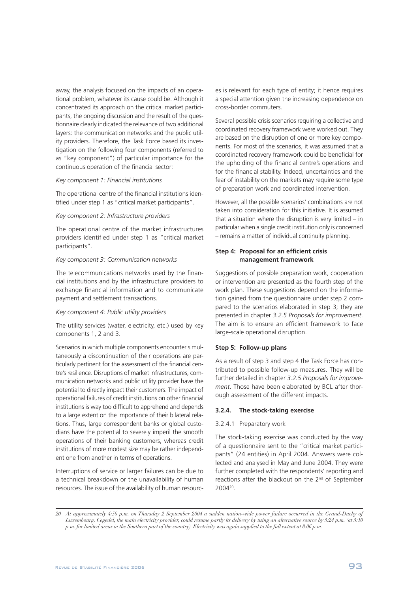away, the analysis focused on the impacts of an operational problem, whatever its cause could be. Although it concentrated its approach on the critical market participants, the ongoing discussion and the result of the questionnaire clearly indicated the relevance of two additional layers: the communication networks and the public utility providers. Therefore, the Task Force based its investigation on the following four components (referred to as "key component") of particular importance for the continuous operation of the financial sector:

## *Key component 1: Financial institutions*

The operational centre of the financial institutions identified under step 1 as "critical market participants".

#### *Key component 2: Infrastructure providers*

The operational centre of the market infrastructures providers identified under step 1 as "critical market participants".

#### *Key component 3: Communication networks*

The telecommunications networks used by the financial institutions and by the infrastructure providers to exchange financial information and to communicate payment and settlement transactions.

#### *Key component 4: Public utility providers*

The utility services (water, electricity, etc.) used by key components 1, 2 and 3.

Scenarios in which multiple components encounter simultaneously a discontinuation of their operations are particularly pertinent for the assessment of the financial centre's resilience. Disruptions of market infrastructures, communication networks and public utility provider have the potential to directly impact their customers. The impact of operational failures of credit institutions on other financial institutions is way too difficult to apprehend and depends to a large extent on the importance of their bilateral relations. Thus, large correspondent banks or global custodians have the potential to severely imperil the smooth operations of their banking customers, whereas credit institutions of more modest size may be rather independent one from another in terms of operations.

Interruptions of service or larger failures can be due to a technical breakdown or the unavailability of human resources. The issue of the availability of human resources is relevant for each type of entity; it hence requires a special attention given the increasing dependence on cross-border commuters.

Several possible crisis scenarios requiring a collective and coordinated recovery framework were worked out. They are based on the disruption of one or more key components. For most of the scenarios, it was assumed that a coordinated recovery framework could be beneficial for the upholding of the financial centre's operations and for the financial stability. Indeed, uncertainties and the fear of instability on the markets may require some type of preparation work and coordinated intervention.

However, all the possible scenarios' combinations are not taken into consideration for this initiative. It is assumed that a situation where the disruption is very limited  $-$  in particular when a single credit institution only is concerned – remains a matter of individual continuity planning.

## **Step 4: Proposal for an efficient crisis management framework**

Suggestions of possible preparation work, cooperation or intervention are presented as the fourth step of the work plan. These suggestions depend on the information gained from the questionnaire under step 2 compared to the scenarios elaborated in step 3; they are presented in chapter *3.2.5 Proposals for improvement*. The aim is to ensure an efficient framework to face large-scale operational disruption.

#### **Step 5: Follow-up plans**

As a result of step 3 and step 4 the Task Force has contributed to possible follow-up measures. They will be further detailed in chapter *3.2.5 Proposals for improvement*. Those have been elaborated by BCL after thorough assessment of the different impacts.

#### **3.2.4. The stock-taking exercise**

#### 3.2.4.1 Preparatory work

The stock-taking exercise was conducted by the way of a questionnaire sent to the "critical market participants" (24 entities) in April 2004. Answers were collected and analysed in May and June 2004. They were further completed with the respondents' reporting and reactions after the blackout on the 2<sup>nd</sup> of September 2004 20 .

*<sup>20</sup> At approximately 4:50 p.m. on Thursday 2 September 2004 a sudden nation-wide power failure occurred in the Grand-Duchy of Luxembourg. Cegedel, the main electricity provider, could resume partly its delivery by using an alternative source by 5:24 p.m. (at 5:10 p.m. for limited areas in the Southern part of the country). Electricity was again supplied to the full extent at 8:06 p.m.*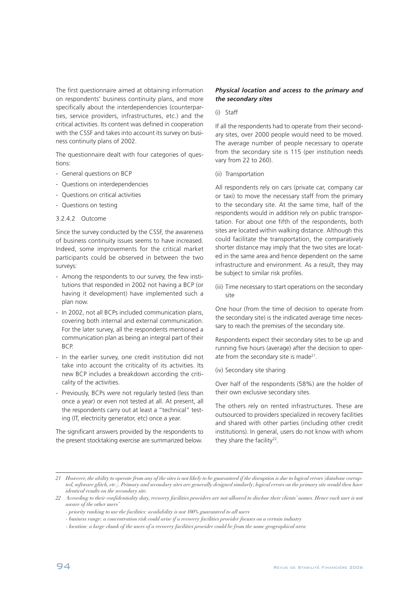The first questionnaire aimed at obtaining information on respondents' business continuity plans, and more specifically about the interdependencies (counterparties, service providers, infrastructures, etc.) and the critical activities. Its content was defined in cooperation with the CSSF and takes into account its survey on business continuity plans of 2002.

The questionnaire dealt with four categories of questions:

- General questions on BCP
- Questions on interdependencies
- Questions on critical activities
- Questions on testing

#### 3.2.4.2 Outcome

Since the survey conducted by the CSSF, the awareness of business continuity issues seems to have increased. Indeed, some improvements for the critical market participants could be observed in between the two surveys:

- Among the respondents to our survey, the few institutions that responded in 2002 not having a BCP (or having it development) have implemented such a plan now.
- In 2002, not all BCPs included communication plans, covering both internal and external communication. For the later survey, all the respondents mentioned a communication plan as being an integral part of their BCP.
- In the earlier survey, one credit institution did not take into account the criticality of its activities. Its new BCP includes a breakdown according the criticality of the activities.
- Previously, BCPs were not regularly tested (less than once a year) or even not tested at all. At present, all the respondents carry out at least a "technical" testing (IT, electricity generator, etc) once a year.

The significant answers provided by the respondents to the present stocktaking exercise are summarized below.

## *Physical location and access to the primary and the secondary sites*

#### (i) Staff

If all the respondents had to operate from their secondary sites, over 2000 people would need to be moved. The average number of people necessary to operate from the secondary site is 115 (per institution needs vary from 22 to 260).

(ii) Transportation

All respondents rely on cars (private car, company car or taxi) to move the necessary staff from the primary to the secondary site. At the same time, half of the respondents would in addition rely on public transportation. For about one fifth of the respondents, both sites are located within walking distance. Although this could facilitate the transportation, the comparatively shorter distance may imply that the two sites are located in the same area and hence dependent on the same infrastructure and environment. As a result, they may be subject to similar risk profiles.

(iii) Time necessary to start operations on the secondary site

One hour (from the time of decision to operate from the secondary site) is the indicated average time necessary to reach the premises of the secondary site.

Respondents expect their secondary sites to be up and running five hours (average) after the decision to operate from the secondary site is made<sup>21</sup>.

#### (iv) Secondary site sharing

Over half of the respondents (58%) are the holder of their own exclusive secondary sites.

The others rely on rented infrastructures. These are outsourced to providers specialized in recovery facilities and shared with other parties (including other credit institutions). In general, users do not know with whom they share the facility<sup>22</sup>.

<sup>21</sup> However, the ability to operate from any of the sites is not likely to be guaranteed if the disruption is due to logical errors (database corrup*ted, software glitch, etc.). Primary and secondary sites are generally designed similarly; logical errors on the primary site would then have identical results on the secondary site.*

*<sup>22</sup> According to their confidentiality duty, recovery facilities providers are not allowed to disclose their clients' names. Hence each user is not aware of the other users'*

*<sup>-</sup> priority ranking to use the facilities: availability is not 100% guaranteed to all users*

*<sup>-</sup> business range: a concentration risk could arise if a recovery facilities provider focuses on a certain industry*

*<sup>-</sup> location: a large chunk of the users of a recovery facilities provider could be from the same geographical area*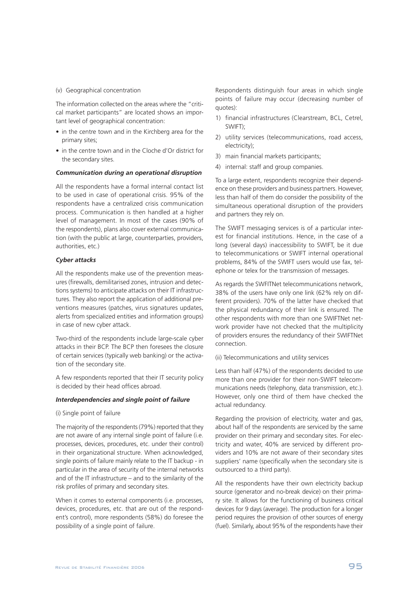#### (v) Geographical concentration

The information collected on the areas where the "critical market participants" are located shows an important level of geographical concentration:

- in the centre town and in the Kirchberg area for the primary sites;
- in the centre town and in the Cloche d'Or district for the secondary sites.

#### *Communication during an operational disruption*

All the respondents have a formal internal contact list to be used in case of operational crisis. 95% of the respondents have a centralized crisis communication process. Communication is then handled at a higher level of management. In most of the cases (90% of the respondents), plans also cover external communication (with the public at large, counterparties, providers, authorities, etc.)

#### *Cyber attacks*

All the respondents make use of the prevention measures (firewalls, demilitarised zones, intrusion and detections systems) to anticipate attacks on their IT infrastructures. They also report the application of additional preventions measures (patches, virus signatures updates, alerts from specialized entities and information groups) in case of new cyber attack.

Two-third of the respondents include large-scale cyber attacks in their BCP. The BCP then foresees the closure of certain services (typically web banking) or the activation of the secondary site.

A few respondents reported that their IT security policy is decided by their head offices abroad.

#### *Interdependencies and single point of failure*

#### (i) Single point of failure

The majority of the respondents (79%) reported that they are not aware of any internal single point of failure (i.e. processes, devices, procedures, etc. under their control) in their organizational structure. When acknowledged, single points of failure mainly relate to the IT backup - in particular in the area of security of the internal networks and of the IT infrastructure – and to the similarity of the risk profiles of primary and secondary sites.

When it comes to external components (i.e. processes, devices, procedures, etc. that are out of the respondent's control), more respondents (58%) do foresee the possibility of a single point of failure.

Respondents distinguish four areas in which single points of failure may occur (decreasing number of quotes):

- 1) financial infrastructures (Clearstream, BCL, Cetrel, SWIFT);
- 2) utility services (telecommunications, road access, electricity);
- 3) main financial markets participants;
- 4) internal: staff and group companies.

To a large extent, respondents recognize their dependence on these providers and business partners. However, less than half of them do consider the possibility of the simultaneous operational disruption of the providers and partners they rely on.

The SWIFT messaging services is of a particular interest for financial institutions. Hence, in the case of a long (several days) inaccessibility to SWIFT, be it due to telecommunications or SWIFT internal operational problems, 84% of the SWIFT users would use fax, telephone or telex for the transmission of messages.

As regards the SWFITNet telecommunications network, 38% of the users have only one link (62% rely on different providers). 70% of the latter have checked that the physical redundancy of their link is ensured. The other respondents with more than one SWIFTNet network provider have not checked that the multiplicity of providers ensures the redundancy of their SWIFTNet connection.

(ii) Telecommunications and utility services

Less than half (47%) of the respondents decided to use more than one provider for their non-SWIFT telecommunications needs (telephony, data transmission, etc.). However, only one third of them have checked the actual redundancy.

Regarding the provision of electricity, water and gas, about half of the respondents are serviced by the same provider on their primary and secondary sites. For electricity and water, 40% are serviced by different providers and 10% are not aware of their secondary sites suppliers' name (specifically when the secondary site is outsourced to a third party).

All the respondents have their own electricity backup source (generator and no-break device) on their primary site. It allows for the functioning of business critical devices for 9 days (average). The production for a longer period requires the provision of other sources of energy (fuel). Similarly, about 95% of the respondents have their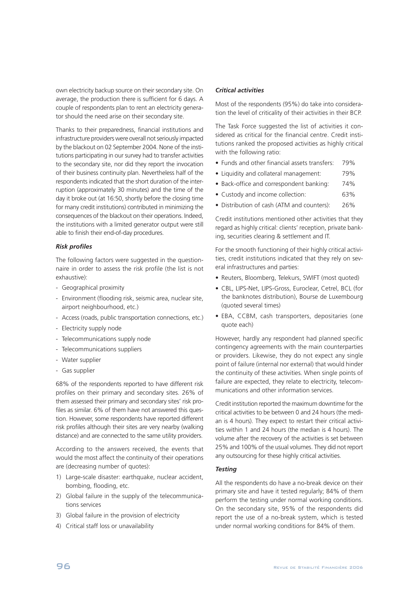own electricity backup source on their secondary site. On average, the production there is sufficient for 6 days. A couple of respondents plan to rent an electricity generator should the need arise on their secondary site.

Thanks to their preparedness, financial institutions and infrastructure providers were overall not seriously impacted by the blackout on 02 September 2004. None of the institutions participating in our survey had to transfer activities to the secondary site, nor did they report the invocation of their business continuity plan. Nevertheless half of the respondents indicated that the short duration of the interruption (approximately 30 minutes) and the time of the day it broke out (at 16:50, shortly before the closing time for many credit institutions) contributed in minimizing the consequences of the blackout on their operations. Indeed, the institutions with a limited generator output were still able to finish their end-of-day procedures.

#### *Risk profiles*

The following factors were suggested in the questionnaire in order to assess the risk profile (the list is not exhaustive):

- Geographical proximity
- Environment (flooding risk, seismic area, nuclear site, airport neighbourhood, etc.)
- Access (roads, public transportation connections, etc.)
- Electricity supply node
- Telecommunications supply node
- Telecommunications suppliers
- Water supplier
- Gas supplier

68% of the respondents reported to have different risk profiles on their primary and secondary sites. 26% of them assessed their primary and secondary sites' risk profiles as similar. 6% of them have not answered this question. However, some respondents have reported different risk profiles although their sites are very nearby (walking distance) and are connected to the same utility providers.

According to the answers received, the events that would the most affect the continuity of their operations are (decreasing number of quotes):

- 1) Large-scale disaster: earthquake, nuclear accident, bombing, flooding, etc.
- 2) Global failure in the supply of the telecommunications services
- 3) Global failure in the provision of electricity
- 4) Critical staff loss or unavailability

## *Critical activities*

Most of the respondents (95%) do take into consideration the level of criticality of their activities in their BCP.

The Task Force suggested the list of activities it considered as critical for the financial centre. Credit institutions ranked the proposed activities as highly critical with the following ratio:

- Funds and other financial assets transfers: 79%
- Liquidity and collateral management: 79%
- Back-office and correspondent banking: 74%
- Custody and income collection: 63%
- Distribution of cash (ATM and counters): 26%

Credit institutions mentioned other activities that they regard as highly critical: clients' reception, private banking, securities clearing & settlement and IT.

For the smooth functioning of their highly critical activities, credit institutions indicated that they rely on several infrastructures and parties:

- Reuters, Bloomberg, Telekurs, SWIFT (most quoted)
- CBL, LIPS-Net, LIPS-Gross, Euroclear, Cetrel, BCL (for the banknotes distribution), Bourse de Luxembourg (quoted several times)
- EBA, CCBM, cash transporters, depositaries (one quote each)

However, hardly any respondent had planned specific contingency agreements with the main counterparties or providers. Likewise, they do not expect any single point of failure (internal nor external) that would hinder the continuity of these activities. When single points of failure are expected, they relate to electricity, telecommunications and other information services.

Credit institution reported the maximum downtime for the critical activities to be between 0 and 24 hours (the median is 4 hours). They expect to restart their critical activities within 1 and 24 hours (the median is 4 hours). The volume after the recovery of the activities is set between 25% and 100% of the usual volumes. They did not report any outsourcing for these highly critical activities.

#### *Testing*

All the respondents do have a no-break device on their primary site and have it tested regularly; 84% of them perform the testing under normal working conditions. On the secondary site, 95% of the respondents did report the use of a no-break system, which is tested under normal working conditions for 84% of them.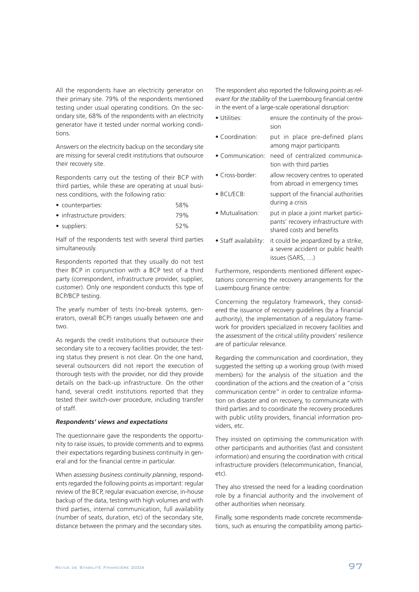All the respondents have an electricity generator on their primary site. 79% of the respondents mentioned testing under usual operating conditions. On the secondary site, 68% of the respondents with an electricity generator have it tested under normal working conditions.

Answers on the electricity backup on the secondary site are missing for several credit institutions that outsource their recovery site.

Respondents carry out the testing of their BCP with third parties, while these are operating at usual business conditions, with the following ratio:

| • counterparties:           | 58% |
|-----------------------------|-----|
| • infrastructure providers: | 79% |

• suppliers: 52%

Half of the respondents test with several third parties simultaneously.

Respondents reported that they usually do not test their BCP in conjunction with a BCP test of a third party (correspondent, infrastructure provider, supplier, customer). Only one respondent conducts this type of BCP/BCP testing.

The yearly number of tests (no-break systems, generators, overall BCP) ranges usually between one and two.

As regards the credit institutions that outsource their secondary site to a recovery facilities provider, the testing status they present is not clear. On the one hand, several outsourcers did not report the execution of thorough tests with the provider, nor did they provide details on the back-up infrastructure. On the other hand, several credit institutions reported that they tested their switch-over procedure, including transfer of staff.

#### *Respondents' views and expectations*

The questionnaire gave the respondents the opportunity to raise issues, to provide comments and to express their expectations regarding business continuity in general and for the financial centre in particular.

When *assessing business continuity planning*, respondents regarded the following points as important: regular review of the BCP, regular evacuation exercise, in-house backup of the data, testing with high volumes and with third parties, internal communication, full availability (number of seats, duration, etc) of the secondary site, distance between the primary and the secondary sites.

The respondent also reported the following *points as relevant for the stability* of the Luxembourg financial centre in the event of a large-scale operational disruption:

| • Utilities: | ensure the continuity of the provi- |
|--------------|-------------------------------------|
|              | sion                                |

- Coordination: put in place pre-defined plans among major participants
- Communication: need of centralized communication with third parties
- Cross-border: allow recovery centres to operated from abroad in emergency times
- BCL/ECB: support of the financial authorities during a crisis
- Mutualisation: put in place a joint market participants' recovery infrastructure with shared costs and benefits
- Staff availability: it could be jeopardized by a strike, a severe accident or public health issues (SARS, …)

Furthermore, respondents mentioned different *expectations* concerning the recovery arrangements for the Luxembourg finance centre:

Concerning the regulatory framework, they considered the issuance of recovery guidelines (by a financial authority), the implementation of a regulatory framework for providers specialized in recovery facilities and the assessment of the critical utility providers' resilience are of particular relevance.

Regarding the communication and coordination, they suggested the setting up a working group (with mixed members) for the analysis of the situation and the coordination of the actions and the creation of a "crisis communication centre" in order to centralize information on disaster and on recovery, to communicate with third parties and to coordinate the recovery procedures with public utility providers, financial information providers, etc.

They insisted on optimising the communication with other participants and authorities (fast and consistent information) and ensuring the coordination with critical infrastructure providers (telecommunication, financial, etc).

They also stressed the need for a leading coordination role by a financial authority and the involvement of other authorities when necessary.

Finally, some respondents made concrete recommendations, such as ensuring the compatibility among partici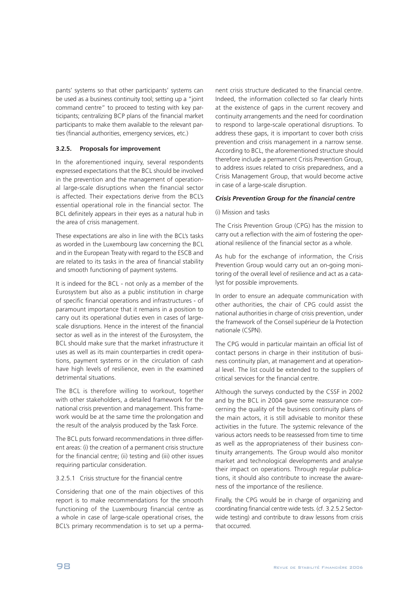pants' systems so that other participants' systems can be used as a business continuity tool; setting up a "joint command centre" to proceed to testing with key participants; centralizing BCP plans of the financial market participants to make them available to the relevant parties (financial authorities, emergency services, etc.)

## **3.2.5. Proposals for improvement**

In the aforementioned inquiry, several respondents expressed expectations that the BCL should be involved in the prevention and the management of operational large-scale disruptions when the financial sector is affected. Their expectations derive from the BCL's essential operational role in the financial sector. The BCL definitely appears in their eyes as a natural hub in the area of crisis management.

These expectations are also in line with the BCL's tasks as worded in the Luxembourg law concerning the BCL and in the European Treaty with regard to the ESCB and are related to its tasks in the area of financial stability and smooth functioning of payment systems.

It is indeed for the BCL - not only as a member of the Eurosystem but also as a public institution in charge of specific financial operations and infrastructures - of paramount importance that it remains in a position to carry out its operational duties even in cases of largescale disruptions. Hence in the interest of the financial sector as well as in the interest of the Eurosystem, the BCL should make sure that the market infrastructure it uses as well as its main counterparties in credit operations, payment systems or in the circulation of cash have high levels of resilience, even in the examined detrimental situations.

The BCL is therefore willing to workout, together with other stakeholders, a detailed framework for the national crisis prevention and management. This framework would be at the same time the prolongation and the result of the analysis produced by the Task Force.

The BCL puts forward recommendations in three different areas: (i) the creation of a permanent crisis structure for the financial centre; (ii) testing and (iii) other issues requiring particular consideration.

#### 3.2.5.1 Crisis structure for the financial centre

Considering that one of the main objectives of this report is to make recommendations for the smooth functioning of the Luxembourg financial centre as a whole in case of large-scale operational crises, the BCL's primary recommendation is to set up a permanent crisis structure dedicated to the financial centre. Indeed, the information collected so far clearly hints at the existence of gaps in the current recovery and continuity arrangements and the need for coordination to respond to large-scale operational disruptions. To address these gaps, it is important to cover both crisis prevention and crisis management in a narrow sense. According to BCL, the aforementioned structure should therefore include a permanent Crisis Prevention Group, to address issues related to crisis preparedness, and a Crisis Management Group, that would become active in case of a large-scale disruption.

#### *Crisis Prevention Group for the financial centre*

#### (i) Mission and tasks

The Crisis Prevention Group (CPG) has the mission to carry out a reflection with the aim of fostering the operational resilience of the financial sector as a whole.

As hub for the exchange of information, the Crisis Prevention Group would carry out an on-going monitoring of the overall level of resilience and act as a catalyst for possible improvements.

In order to ensure an adequate communication with other authorities, the chair of CPG could assist the national authorities in charge of crisis prevention, under the framework of the Conseil supérieur de la Protection nationale (CSPN).

The CPG would in particular maintain an official list of contact persons in charge in their institution of business continuity plan, at management and at operational level. The list could be extended to the suppliers of critical services for the financial centre.

Although the surveys conducted by the CSSF in 2002 and by the BCL in 2004 gave some reassurance concerning the quality of the business continuity plans of the main actors, it is still advisable to monitor these activities in the future. The systemic relevance of the various actors needs to be reassessed from time to time as well as the appropriateness of their business continuity arrangements. The Group would also monitor market and technological developments and analyse their impact on operations. Through regular publications, it should also contribute to increase the awareness of the importance of the resilience.

Finally, the CPG would be in charge of organizing and coordinating financial centre wide tests. (cf. 3.2.5.2 Sectorwide testing) and contribute to draw lessons from crisis that occurred.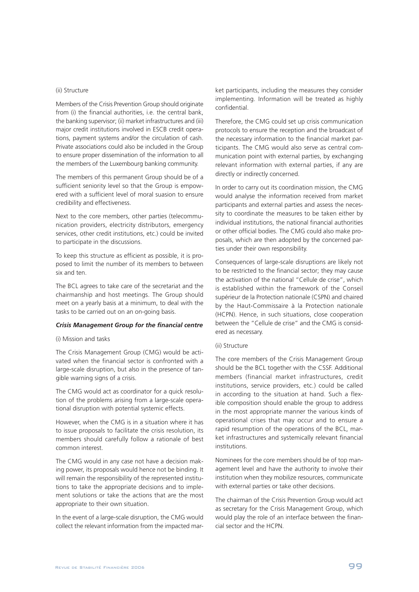#### (ii) Structure

Members of the Crisis Prevention Group should originate from (i) the financial authorities, i.e. the central bank, the banking supervisor; (ii) market infrastructures and (iii) major credit institutions involved in ESCB credit operations, payment systems and/or the circulation of cash. Private associations could also be included in the Group to ensure proper dissemination of the information to all the members of the Luxembourg banking community.

The members of this permanent Group should be of a sufficient seniority level so that the Group is empowered with a sufficient level of moral suasion to ensure credibility and effectiveness.

Next to the core members, other parties (telecommunication providers, electricity distributors, emergency services, other credit institutions, etc.) could be invited to participate in the discussions.

To keep this structure as efficient as possible, it is proposed to limit the number of its members to between six and ten.

The BCL agrees to take care of the secretariat and the chairmanship and host meetings. The Group should meet on a yearly basis at a minimum, to deal with the tasks to be carried out on an on-going basis.

#### *Crisis Management Group for the financial centre*

#### (i) Mission and tasks

The Crisis Management Group (CMG) would be activated when the financial sector is confronted with a large-scale disruption, but also in the presence of tangible warning signs of a crisis.

The CMG would act as coordinator for a quick resolution of the problems arising from a large-scale operational disruption with potential systemic effects.

However, when the CMG is in a situation where it has to issue proposals to facilitate the crisis resolution, its members should carefully follow a rationale of best common interest.

The CMG would in any case not have a decision making power, its proposals would hence not be binding. It will remain the responsibility of the represented institutions to take the appropriate decisions and to implement solutions or take the actions that are the most appropriate to their own situation.

In the event of a large-scale disruption, the CMG would collect the relevant information from the impacted market participants, including the measures they consider implementing. Information will be treated as highly confidential.

Therefore, the CMG could set up crisis communication protocols to ensure the reception and the broadcast of the necessary information to the financial market participants. The CMG would also serve as central communication point with external parties, by exchanging relevant information with external parties, if any are directly or indirectly concerned.

In order to carry out its coordination mission, the CMG would analyse the information received from market participants and external parties and assess the necessity to coordinate the measures to be taken either by individual institutions, the national financial authorities or other official bodies. The CMG could also make proposals, which are then adopted by the concerned parties under their own responsibility.

Consequences of large-scale disruptions are likely not to be restricted to the financial sector; they may cause the activation of the national "Cellule de crise", which is established within the framework of the Conseil supérieur de la Protection nationale (CSPN) and chaired by the Haut-Commissaire à la Protection nationale (HCPN). Hence, in such situations, close cooperation between the "Cellule de crise" and the CMG is considered as necessary.

### (ii) Structure

The core members of the Crisis Management Group should be the BCL together with the CSSF. Additional members (financial market infrastructures, credit institutions, service providers, etc.) could be called in according to the situation at hand. Such a flexible composition should enable the group to address in the most appropriate manner the various kinds of operational crises that may occur and to ensure a rapid resumption of the operations of the BCL, market infrastructures and systemically relevant financial institutions.

Nominees for the core members should be of top management level and have the authority to involve their institution when they mobilize resources, communicate with external parties or take other decisions.

The chairman of the Crisis Prevention Group would act as secretary for the Crisis Management Group, which would play the role of an interface between the financial sector and the HCPN.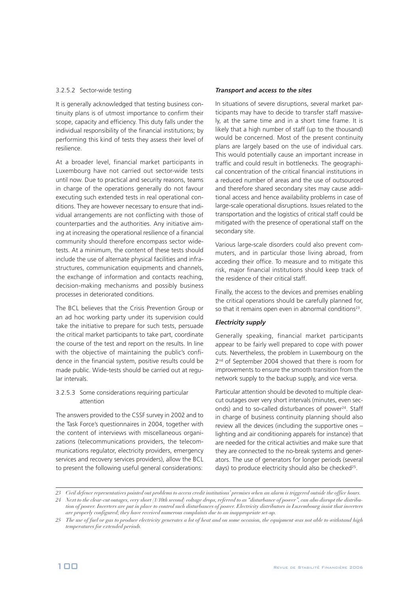### 3.2.5.2 Sector-wide testing

It is generally acknowledged that testing business continuity plans is of utmost importance to confirm their scope, capacity and efficiency. This duty falls under the individual responsibility of the financial institutions; by performing this kind of tests they assess their level of resilience.

At a broader level, financial market participants in Luxembourg have not carried out sector-wide tests until now. Due to practical and security reasons, teams in charge of the operations generally do not favour executing such extended tests in real operational conditions. They are however necessary to ensure that individual arrangements are not conflicting with those of counterparties and the authorities. Any initiative aiming at increasing the operational resilience of a financial community should therefore encompass sector widetests. At a minimum, the content of these tests should include the use of alternate physical facilities and infrastructures, communication equipments and channels, the exchange of information and contacts reaching, decision-making mechanisms and possibly business processes in deteriorated conditions.

The BCL believes that the Crisis Prevention Group or an ad hoc working party under its supervision could take the initiative to prepare for such tests, persuade the critical market participants to take part, coordinate the course of the test and report on the results. In line with the objective of maintaining the public's confidence in the financial system, positive results could be made public. Wide-tests should be carried out at regular intervals.

## 3.2.5.3 Some considerations requiring particular attention

The answers provided to the CSSF survey in 2002 and to the Task Force's questionnaires in 2004, together with the content of interviews with miscellaneous organizations (telecommunications providers, the telecommunications regulator, electricity providers, emergency services and recovery services providers), allow the BCL to present the following useful general considerations:

### *Transport and access to the sites*

In situations of severe disruptions, several market participants may have to decide to transfer staff massively, at the same time and in a short time frame. It is likely that a high number of staff (up to the thousand) would be concerned. Most of the present continuity plans are largely based on the use of individual cars. This would potentially cause an important increase in traffic and could result in bottlenecks. The geographical concentration of the critical financial institutions in a reduced number of areas and the use of outsourced and therefore shared secondary sites may cause additional access and hence availability problems in case of large-scale operational disruptions. Issues related to the transportation and the logistics of critical staff could be mitigated with the presence of operational staff on the secondary site.

Various large-scale disorders could also prevent commuters, and in particular those living abroad, from acceding their office. To measure and to mitigate this risk, major financial institutions should keep track of the residence of their critical staff.

Finally, the access to the devices and premises enabling the critical operations should be carefully planned for, so that it remains open even in abnormal conditions<sup>23</sup>.

## *Electricity supply*

Generally speaking, financial market participants appear to be fairly well prepared to cope with power cuts. Nevertheless, the problem in Luxembourg on the 2 nd of September 2004 showed that there is room for improvements to ensure the smooth transition from the network supply to the backup supply, and vice versa.

Particular attention should be devoted to multiple clearcut outages over very short intervals (minutes, even seconds) and to so-called disturbances of power 24 . Staff in charge of business continuity planning should also review all the devices (including the supportive ones – lighting and air conditioning apparels for instance) that are needed for the critical activities and make sure that they are connected to the no-break systems and generators. The use of generators for longer periods (several days) to produce electricity should also be checked<sup>25</sup>.

*<sup>23</sup> Civil defence representatives pointed out problems to access credit institutions' premises when an alarm is triggered outside the office hours.*

*<sup>24</sup> Next to the clear-cut outages, very short (1/10th second) voltage drops, referred to as "disturbance of power", can also disrupt the distribu*tion of power. Inverters are put in place to control such disturbances of power. Electricity distributors in Luxembourg insist that inverters *are properly configured; they have received numerous complaints due to an inappropriate set-up.*

<sup>25</sup> The use of fuel or gas to produce electricity generates a lot of heat and on some occasion, the equipment was not able to withstand high *temperatures for extended periods.*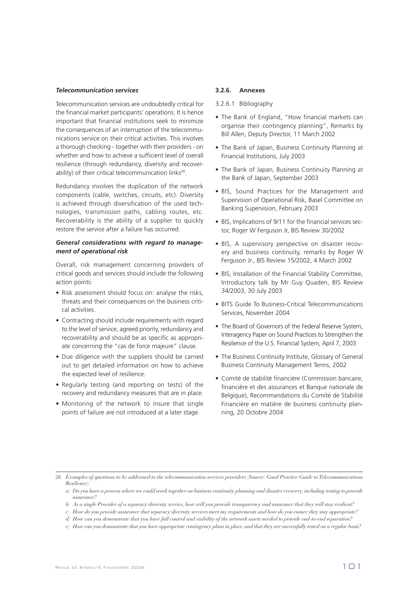#### *Telecommunication services*

Telecommunication services are undoubtedly critical for the financial market participants' operations. It is hence important that financial institutions seek to minimize the consequences of an interruption of the telecommunications service on their critical activities. This involves a thorough checking - together with their providers - on whether and how to achieve a sufficient level of overall resilience (through redundancy, diversity and recoverability) of their critical telecommunication links<sup>26</sup>.

Redundancy involves the duplication of the network components (cable, switches, circuits, etc). Diversity is achieved through diversification of the used technologies, transmission paths, cabling routes, etc. Recoverability is the ability of a supplier to quickly restore the service after a failure has occurred.

## *General considerations with regard to management of operational risk*

Overall, risk management concerning providers of critical goods and services should include the following action points:

- Risk assessment should focus on: analyse the risks, threats and their consequences on the business critical activities.
- Contracting should include requirements with regard to the level of service, agreed priority, redundancy and recoverability and should be as specific as appropriate concerning the "cas de force majeure" clause.
- Due diligence with the suppliers should be carried out to get detailed information on how to achieve the expected level of resilience.
- Regularly testing (and reporting on tests) of the recovery and redundancy measures that are in place.
- Monitoring of the network to insure that single points of failure are not introduced at a later stage.

### **3.2.6. Annexes**

3.2.6.1 Bibliography

- The Bank of England, "How financial markets can organise their contingency planning", Remarks by Bill Allen, Deputy Director, 11 March 2002
- The Bank of Japan, Business Continuity Planning at Financial Institutions, July 2003
- The Bank of Japan, Business Continuity Planning at the Bank of Japan, September 2003
- BIS, Sound Practices for the Management and Supervision of Operational Risk, Basel Committee on Banking Supervision, February 2003
- BIS, Implications of 9/11 for the financial services sector, Roger W Ferguson Jr, BIS Review 30/2002
- BIS, A supervisory perspective on disaster recovery and business continuity, remarks by Roger W Ferguson Jr., BIS Review 15/2002, 4 March 2002
- BIS, Installation of the Financial Stability Committee, Introductory talk by Mr Guy Quaden, BIS Review 34/2003, 30 July 2003
- BITS Guide To Business-Critical Telecommunications Services, November 2004
- The Board of Governors of the Federal Reserve System, Interagency Paper on Sound Practices to Strengthen the Resilience of the U.S. Financial System, April 7, 2003
- The Business Continuity Institute, Glossary of General Business Continuity Management Terms, 2002
- Comité de stabilité financière (Commission bancaire, financière et des assurances et Banque nationale de Belgique), Recommandations du Comité de Stabilité Financière en matière de business continuity planning, 20 Octobre 2004

*<sup>26</sup> Examples of questions to be addressed to the telecommunication services providers (Source: Good Practice Guide toTelecommunications Resilience):*

*a) Do you have a process where we could work together on business continuity planning and disaster recovery, including testing to provide assurance?*

*b) As a single Provider of a separacy/diversity service, how will you provide transparency and assurance that they will stay resilient?*

*c) How do you provide assurance that separacy/diversity services meet my requirements and how do you ensure they stay appropriate?*

*d) How can you demonstrate that you have full control and visibility of the network assets needed to provide end-to-end separation?*

*e) How can you demonstrate that you have appropriate contingency plans in place, and that they are successfully tested on a regular basis?*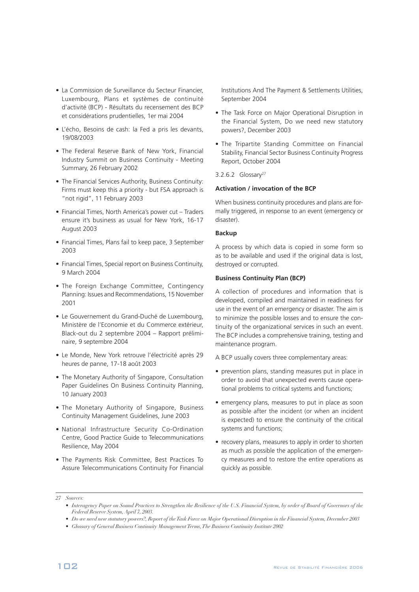- La Commission de Surveillance du Secteur Financier, Luxembourg, Plans et systèmes de continuité d'activité (BCP) - Résultats du recensement des BCP et considérations prudentielles, 1er mai 2004
- L'écho, Besoins de cash: la Fed a pris les devants, 19/08/2003
- The Federal Reserve Bank of New York, Financial Industry Summit on Business Continuity - Meeting Summary, 26 February 2002
- The Financial Services Authority, Business Continuity: Firms must keep this a priority - but FSA approach is "not rigid", 11 February 2003
- Financial Times, North America's power cut Traders ensure it's business as usual for New York, 16-17 August 2003
- Financial Times, Plans fail to keep pace, 3 September 2003
- Financial Times, Special report on Business Continuity, 9 March 2004
- The Foreign Exchange Committee, Contingency Planning: Issues and Recommendations, 15 November 2001
- Le Gouvernement du Grand-Duché de Luxembourg, Ministère de l'Economie et du Commerce extérieur, Black-out du 2 septembre 2004 – Rapport préliminaire, 9 septembre 2004
- Le Monde, New York retrouve l'électricité après 29 heures de panne, 17-18 août 2003
- The Monetary Authority of Singapore, Consultation Paper Guidelines On Business Continuity Planning, 10 January 2003
- The Monetary Authority of Singapore, Business Continuity Management Guidelines, June 2003
- National Infrastructure Security Co-Ordination Centre, Good Practice Guide to Telecommunications Resilience, May 2004
- The Payments Risk Committee, Best Practices To Assure Telecommunications Continuity For Financial

Institutions And The Payment & Settlements Utilities, September 2004

- The Task Force on Major Operational Disruption in the Financial System, Do we need new statutory powers?, December 2003
- The Tripartite Standing Committee on Financial Stability, Financial Sector Business Continuity Progress Report, October 2004
- 3.2.6.2 Glossary<sup>27</sup>

## **Activation / invocation of the BCP**

When business continuity procedures and plans are formally triggered, in response to an event (emergency or disaster).

### **Backup**

A process by which data is copied in some form so as to be available and used if the original data is lost, destroyed or corrupted.

#### **Business Continuity Plan (BCP)**

A collection of procedures and information that is developed, compiled and maintained in readiness for use in the event of an emergency or disaster. The aim is to minimize the possible losses and to ensure the continuity of the organizational services in such an event. The BCP includes a comprehensive training, testing and maintenance program.

A BCP usually covers three complementary areas:

- prevention plans, standing measures put in place in order to avoid that unexpected events cause operational problems to critical systems and functions;
- emergency plans, measures to put in place as soon as possible after the incident (or when an incident is expected) to ensure the continuity of the critical systems and functions;
- recovery plans, measures to apply in order to shorten as much as possible the application of the emergency measures and to restore the entire operations as quickly as possible.

*27 Sources:*

- Interagency Paper on Sound Practices to Strengthen the Resilience of the U.S. Financial System, by order of Board of Governors of the *Federal Reserve System, April 7, 2003.*
- *• Do we need new statutory powers?, Report of theTask Force on Major Operational Disruption in the Financial System, December 2003*
- *• Glossary of General Business Continuity Management Terms,The Business Continuity Institute 2002*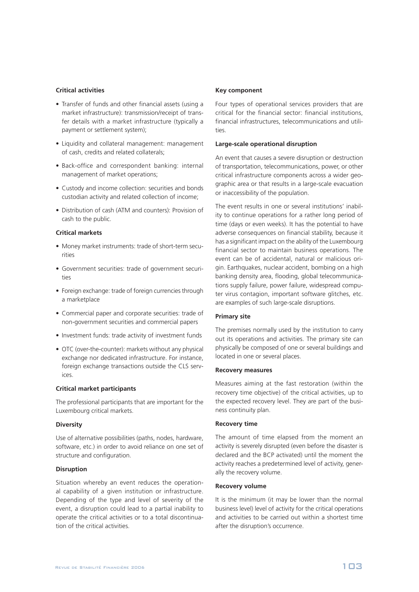## **Critical activities**

- Transfer of funds and other financial assets (using a market infrastructure): transmission/receipt of transfer details with a market infrastructure (typically a payment or settlement system);
- Liquidity and collateral management: management of cash, credits and related collaterals;
- Back-office and correspondent banking: internal management of market operations;
- Custody and income collection: securities and bonds custodian activity and related collection of income;
- Distribution of cash (ATM and counters): Provision of cash to the public.

#### **Critical markets**

- Money market instruments: trade of short-term securities
- Government securities: trade of government securities
- Foreign exchange: trade of foreign currencies through a marketplace
- Commercial paper and corporate securities: trade of non-government securities and commercial papers
- Investment funds: trade activity of investment funds
- OTC (over-the-counter): markets without any physical exchange nor dedicated infrastructure. For instance, foreign exchange transactions outside the CLS services.

#### **Critical market participants**

The professional participants that are important for the Luxembourg critical markets.

#### **Diversity**

Use of alternative possibilities (paths, nodes, hardware, software, etc.) in order to avoid reliance on one set of structure and configuration.

#### **Disruption**

Situation whereby an event reduces the operational capability of a given institution or infrastructure. Depending of the type and level of severity of the event, a disruption could lead to a partial inability to operate the critical activities or to a total discontinuation of the critical activities.

#### **Key component**

Four types of operational services providers that are critical for the financial sector: financial institutions, financial infrastructures, telecommunications and utilities.

## **Large-scale operational disruption**

An event that causes a severe disruption or destruction of transportation, telecommunications, power, or other critical infrastructure components across a wider geographic area or that results in a large-scale evacuation or inaccessibility of the population.

The event results in one or several institutions' inability to continue operations for a rather long period of time (days or even weeks). It has the potential to have adverse consequences on financial stability, because it has a significant impact on the ability of the Luxembourg financial sector to maintain business operations. The event can be of accidental, natural or malicious origin. Earthquakes, nuclear accident, bombing on a high banking density area, flooding, global telecommunications supply failure, power failure, widespread computer virus contagion, important software glitches, etc. are examples of such large-scale disruptions.

#### **Primary site**

The premises normally used by the institution to carry out its operations and activities. The primary site can physically be composed of one or several buildings and located in one or several places.

#### **Recovery measures**

Measures aiming at the fast restoration (within the recovery time objective) of the critical activities, up to the expected recovery level. They are part of the business continuity plan.

#### **Recovery time**

The amount of time elapsed from the moment an activity is severely disrupted (even before the disaster is declared and the BCP activated) until the moment the activity reaches a predetermined level of activity, generally the recovery volume.

#### **Recovery volume**

It is the minimum (it may be lower than the normal business level) level of activity for the critical operations and activities to be carried out within a shortest time after the disruption's occurrence.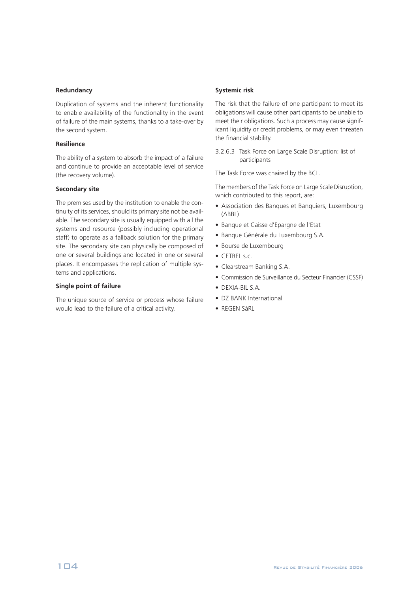## **Redundancy**

Duplication of systems and the inherent functionality to enable availability of the functionality in the event of failure of the main systems, thanks to a take-over by the second system.

## **Resilience**

The ability of a system to absorb the impact of a failure and continue to provide an acceptable level of service (the recovery volume).

## **Secondary site**

The premises used by the institution to enable the continuity of its services, should its primary site not be available. The secondary site is usually equipped with all the systems and resource (possibly including operational staff) to operate as a fallback solution for the primary site. The secondary site can physically be composed of one or several buildings and located in one or several places. It encompasses the replication of multiple systems and applications.

## **Single point of failure**

The unique source of service or process whose failure would lead to the failure of a critical activity.

## **Systemic risk**

The risk that the failure of one participant to meet its obligations will cause other participants to be unable to meet their obligations. Such a process may cause significant liquidity or credit problems, or may even threaten the financial stability.

3.2.6.3 Task Force on Large Scale Disruption: list of participants

The Task Force was chaired by the BCL.

The members of the Task Force on Large Scale Disruption, which contributed to this report, are:

- Association des Banques et Banquiers, Luxembourg (ABBL)
- Banque et Caisse d'Epargne de l'Etat
- Banque Générale du Luxembourg S.A.
- Bourse de Luxembourg
- CETREL s.c.
- Clearstream Banking S.A.
- Commission de Surveillance du Secteur Financier (CSSF)
- DEXIA-BIL S.A.
- DZ BANK International
- REGEN SàRL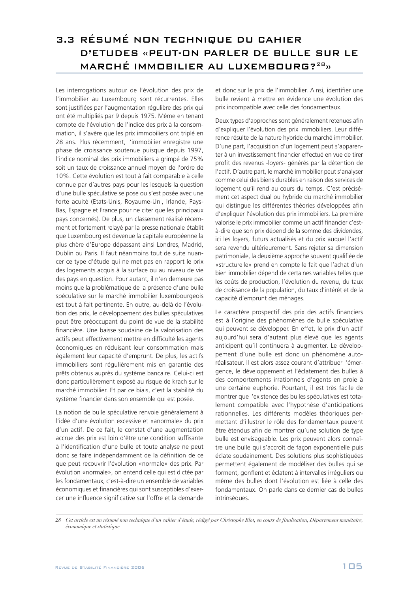## 3.3 RÉSUMÉ NON TECHNIQUE DU CAHIER D'ETUDES «PEUT-ON PARLER DE BULLE SUR LE MARCHÉ IMMOBILIER AU LUXEMBOURG?<sup>28</sup>»

Les interrogations autour de l'évolution des prix de l'immobilier au Luxembourg sont récurrentes. Elles sont justifiées par l'augmentation régulière des prix qui ont été multipliés par 9 depuis 1975. Même en tenant compte de l'évolution de l'indice des prix à la consommation, il s'avère que les prix immobiliers ont triplé en 28 ans. Plus récemment, l'immobilier enregistre une phase de croissance soutenue puisque depuis 1997, l'indice nominal des prix immobiliers a grimpé de 75% soit un taux de croissance annuel moyen de l'ordre de 10%. Cette évolution est tout à fait comparable à celle connue par d'autres pays pour les lesquels la question d'une bulle spéculative se pose ou s'est posée avec une forte acuité (Etats-Unis, Royaume-Uni, Irlande, Pays-Bas, Espagne et France pour ne citer que les principaux pays concernés). De plus, un classement réalisé récemment et fortement relayé par la presse nationale établit que Luxembourg est devenue la capitale européenne la plus chère d'Europe dépassant ainsi Londres, Madrid, Dublin ou Paris. Il faut néanmoins tout de suite nuancer ce type d'étude qui ne met pas en rapport le prix des logements acquis à la surface ou au niveau de vie des pays en question. Pour autant, il n'en demeure pas moins que la problématique de la présence d'une bulle spéculative sur le marché immobilier luxembourgeois est tout à fait pertinente. En outre, au-delà de l'évolution des prix, le développement des bulles spéculatives peut être préoccupant du point de vue de la stabilité financière. Une baisse soudaine de la valorisation des actifs peut effectivement mettre en difficulté les agents économiques en réduisant leur consommation mais également leur capacité d'emprunt. De plus, les actifs immobiliers sont régulièrement mis en garantie des prêts obtenus auprès du système bancaire. Celui-ci est donc particulièrement exposé au risque de krach sur le marché immobilier. Et par ce biais, c'est la stabilité du système financier dans son ensemble qui est posée.

La notion de bulle spéculative renvoie généralement à l'idée d'une évolution excessive et «anormale» du prix d'un actif. De ce fait, le constat d'une augmentation accrue des prix est loin d'être une condition suffisante à l'identification d'une bulle et toute analyse ne peut donc se faire indépendamment de la définition de ce que peut recouvrir l'évolution «normale» des prix. Par évolution «normale», on entend celle qui est dictée par les fondamentaux, c'est-à-dire un ensemble de variables économiques et financières qui sont susceptibles d'exercer une influence significative sur l'offre et la demande et donc sur le prix de l'immobilier. Ainsi, identifier une bulle revient à mettre en évidence une évolution des prix incompatible avec celle des fondamentaux.

Deux types d'approches sont généralement retenues afin d'expliquer l'évolution des prix immobiliers. Leur différence résulte de la nature hybride du marché immobilier. D'une part, l'acquisition d'un logement peut s'apparenter à un investissement financier effectué en vue de tirer profit des revenus -loyers- générés par la détention de l'actif. D'autre part, le marché immobilier peut s'analyser comme celui des biens durables en raison des services de logement qu'il rend au cours du temps. C'est précisément cet aspect dual ou hybride du marché immobilier qui distingue les différentes théories développées afin d'expliquer l'évolution des prix immobiliers. La première valorise le prix immobilier comme un actif financier c'està-dire que son prix dépend de la somme des dividendes, ici les loyers, futurs actualisés et du prix auquel l'actif sera revendu ultérieurement. Sans rejeter sa dimension patrimoniale, la deuxième approche souvent qualifiée de «structurelle» prend en compte le fait que l'achat d'un bien immobilier dépend de certaines variables telles que les coûts de production, l'évolution du revenu, du taux de croissance de la population, du taux d'intérêt et de la capacité d'emprunt des ménages.

Le caractère prospectif des prix des actifs financiers est à l'origine des phénomènes de bulle spéculative qui peuvent se développer. En effet, le prix d'un actif aujourd'hui sera d'autant plus élevé que les agents anticipent qu'il continuera à augmenter. Le développement d'une bulle est donc un phénomène autoréalisateur. Il est alors assez courant d'attribuer l'émergence, le développement et l'éclatement des bulles à des comportements irrationnels d'agents en proie à une certaine euphorie. Pourtant, il est très facile de montrer que l'existence des bulles spéculatives est totalement compatible avec l'hypothèse d'anticipations rationnelles. Les différents modèles théoriques permettant d'illustrer le rôle des fondamentaux peuvent être étendus afin de montrer qu'une solution de type bulle est envisageable. Les prix peuvent alors connaître une bulle qui s'accroît de façon exponentielle puis éclate soudainement. Des solutions plus sophistiquées permettent également de modéliser des bulles qui se forment, gonflent et éclatent à intervalles irréguliers ou même des bulles dont l'évolution est liée à celle des fondamentaux. On parle dans ce dernier cas de bulles intrinsèques.

*<sup>28</sup> Cet article est un résumé non technique d'un cahier d'étude, rédigé par Christophe Blot, en cours de finalisation, Département monétaire, économique et statistique*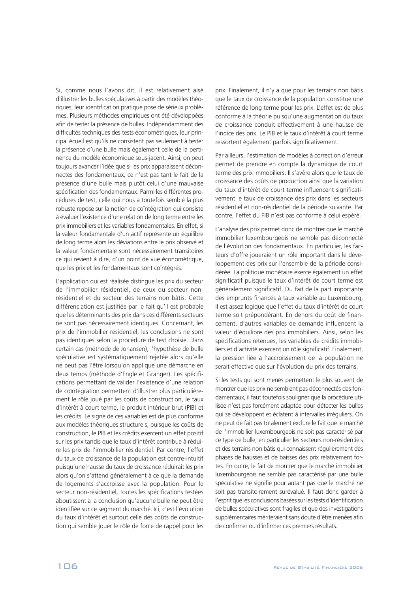Si, comme nous l'avons dit, il est relativement aisé d'illustrer les bulles spéculatives à partir des modèles théoriques, leur identification pratique pose de sérieux problèmes. Plusieurs méthodes empiriques ont été développées afin de tester la présence de bulles. Indépendamment des difficultés techniques des tests économétriques, leur principal écueil est qu'ils ne consistent pas seulement à tester la présence d'une bulle mais également celle de la pertinence du modèle économique sous-jacent. Ainsi, on peut toujours avancer l'idée que si les prix apparaissent déconnectés des fondamentaux, ce n'est pas tant le fait de la présence d'une bulle mais plutôt celui d'une mauvaise spécification des fondamentaux. Parmi les différentes procédures de test, celle qui nous a toutefois semblé la plus robuste repose sur la notion de coïntégration qui consiste à évaluer l'existence d'une relation de long terme entre les prix immobiliers et les variables fondamentales. En effet, si la valeur fondamentale d'un actif représente un équilibre de long terme alors les déviations entre le prix observé et la valeur fondamentale sont nécessairement transitoires ce qui revient à dire, d'un point de vue économétrique, que les prix et les fondamentaux sont coïntégrés.

L'application qui est réalisée distingue les prix du secteur de l'immobilier résidentiel, de ceux du secteur nonrésidentiel et du secteur des terrains non bâtis. Cette différenciation est justifiée par le fait qu'il est probable que les déterminants des prix dans ces différents secteurs ne sont pas nécessairement identiques. Concernant, les prix de l'immobilier résidentiel, les conclusions ne sont pas identiques selon la procédure de test choisie. Dans certain cas (méthode de Johansen), l'hypothèse de bulle spéculative est systématiquement rejetée alors qu'elle ne peut pas l'être lorsqu'on applique une démarche en deux temps (méthode d'Engle et Granger). Les spécifications permettant de valider l'existence d'une relation de coïntégration permettent d'illustrer plus particulièrement le rôle joué par les coûts de construction, le taux d'intérêt à court terme, le produit intérieur brut (PIB) et les crédits. Le signe de ces variables est de plus conforme aux modèles théoriques structurels, puisque les coûts de construction, le PIB et les crédits exercent un effet positif sur les prix tandis que le taux d'intérêt contribue à réduire les prix de l'immobilier résidentiel. Par contre, l'effet du taux de croissance de la population est contre-intuitif puisqu'une hausse du taux de croissance réduirait les prix alors qu'on s'attend généralement à ce que la demande de logements s'accroisse avec la population. Pour le secteur non-résidentiel, toutes les spécifications testées aboutissent à la conclusion qu'aucune bulle ne peut être identifiée sur ce segment du marché. Ici, c'est l'évolution du taux d'intérêt et surtout celle des coûts de construction qui semble jouer le rôle de force de rappel pour les prix. Finalement, il n'y a que pour les terrains non bâtis que le taux de croissance de la population constitue une référence de long terme pour les prix. L'effet est de plus conforme à la théorie puisqu'une augmentation du taux de croissance conduit effectivement à une hausse de l'indice des prix. Le PIB et le taux d'intérêt à court terme ressortent également parfois significativement.

Par ailleurs, l'estimation de modèles à correction d'erreur permet de prendre en compte la dynamique de court terme des prix immobiliers. Il s'avère alors que le taux de croissance des coûts de production ainsi que la variation du taux d'intérêt de court terme influencent significativement le taux de croissance des prix dans les secteurs résidentiel et non-résidentiel de la période suivante. Par contre, l'effet du PIB n'est pas conforme à celui espéré.

L'analyse des prix permet donc de montrer que le marché immobilier luxembourgeois ne semble pas déconnecté de l'évolution des fondamentaux. En particulier, les facteurs d'offre joueraient un rôle important dans le développement des prix sur l'ensemble de la période considérée. La politique monétaire exerce également un effet significatif puisque le taux d'intérêt de court terme est généralement significatif. Du fait de la part importante des emprunts financés à taux variable au Luxembourg, il est assez logique que l'effet du taux d'intérêt de court terme soit prépondérant. En dehors du coût de financement, d'autres variables de demande influencent la valeur d'équilibre des prix immobiliers. Ainsi, selon les spécifications retenues, les variables de crédits immobiliers et d'activité exercent un rôle significatif. Finalement, la pression liée à l'accroissement de la population ne serait effective que sur l'évolution du prix des terrains.

Si les tests qui sont menés permettent le plus souvent de montrer que les prix ne semblent pas déconnectés des fondamentaux, il faut toutefois souligner que la procédure utilisée n'est pas forcément adaptée pour détecter les bulles qui se développent et éclatent à intervalles irréguliers. On ne peut de fait pas totalement exclure le fait que le marché de l'immobilier luxembourgeois ne soit pas caractérisé par ce type de bulle, en particulier les secteurs non-résidentiels et des terrains non bâtis qui connaissent régulièrement des phases de hausses et de baisses des prix relativement fortes. En outre, le fait de montrer que le marché immobilier luxembourgeois ne semble pas caractérisé par une bulle spéculative ne signifie pour autant pas que le marché ne soit pas transitoirement surévalué. Il faut donc garder à l'esprit que les conclusions basées sur les tests d'identification de bulles spéculatives sont fragiles et que des investigations supplémentaires mériteraient sans doute d'être menées afin de confirmer ou d'infirmer ces premiers résultats.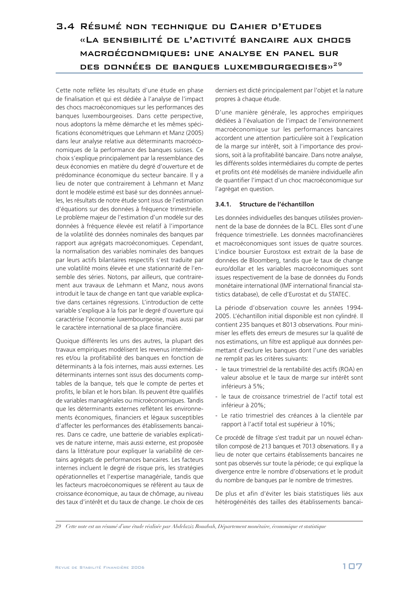## 3.4 Résumé non technique du Cahier d'Etudes «La sensibilité de l'activité bancaire aux chocs macroéconomiques: une analyse en panel sur DES DONNÉES DE BANQUES LUXEMBOURGEOISES»<sup>29</sup>

Cette note reflète les résultats d'une étude en phase de finalisation et qui est dédiée à l'analyse de l'impact des chocs macroéconomiques sur les performances des banques luxembourgeoises. Dans cette perspective, nous adoptons la même démarche et les mêmes spécifications économétriques que Lehmann et Manz (2005) dans leur analyse relative aux déterminants macroéconomiques de la performance des banques suisses. Ce choix s'explique principalement par la ressemblance des deux économies en matière du degré d'ouverture et de prédominance économique du secteur bancaire. Il y a lieu de noter que contrairement à Lehmann et Manz dont le modèle estimé est basé sur des données annuelles, les résultats de notre étude sont issus de l'estimation d'équations sur des données à fréquence trimestrielle. Le problème majeur de l'estimation d'un modèle sur des données à fréquence élevée est relatif à l'importance de la volatilité des données nominales des banques par rapport aux agrégats macroéconomiques. Cependant, la normalisation des variables nominales des banques par leurs actifs bilantaires respectifs s'est traduite par une volatilité moins élevée et une stationnarité de l'ensemble des séries. Notons, par ailleurs, que contrairement aux travaux de Lehmann et Manz, nous avons introduit le taux de change en tant que variable explicative dans certaines régressions. L'introduction de cette variable s'explique à la fois par le degré d'ouverture qui caractérise l'économie luxembourgeoise, mais aussi par le caractère international de sa place financière.

Quoique différents les uns des autres, la plupart des travaux empiriques modélisent les revenus intermédiaires et/ou la profitabilité des banques en fonction de déterminants à la fois internes, mais aussi externes. Les déterminants internes sont issus des documents comptables de la banque, tels que le compte de pertes et profits, le bilan et le hors bilan. Ils peuvent être qualifiés de variables managériales ou microéconomiques. Tandis que les déterminants externes reflètent les environnements économiques, financiers et légaux susceptibles d'affecter les performances des établissements bancaires. Dans ce cadre, une batterie de variables explicatives de nature interne, mais aussi externe, est proposée dans la littérature pour expliquer la variabilité de certains agrégats de performances bancaires. Les facteurs internes incluent le degré de risque pris, les stratégies opérationnelles et l'expertise managériale, tandis que les facteurs macroéconomiques se réfèrent au taux de croissance économique, au taux de chômage, au niveau des taux d'intérêt et du taux de change. Le choix de ces

derniers est dicté principalement par l'objet et la nature propres à chaque étude.

D'une manière générale, les approches empiriques dédiées à l'évaluation de l'impact de l'environnement macroéconomique sur les performances bancaires accordent une attention particulière soit à l'explication de la marge sur intérêt, soit à l'importance des provisions, soit à la profitabilité bancaire. Dans notre analyse, les différents soldes intermédiaires du compte de pertes et profits ont été modélisés de manière individuelle afin de quantifier l'impact d'un choc macroéconomique sur l'agrégat en question.

## **3.4.1. Structure de l'échantillon**

Les données individuelles des banques utilisées proviennent de la base de données de la BCL. Elles sont d'une fréquence trimestrielle. Les données macrofinancières et macroéconomiques sont issues de quatre sources. L'indice boursier Eurostoxx est extrait de la base de données de Bloomberg, tandis que le taux de change euro/dollar et les variables macroéconomiques sont issues respectivement de la base de données du Fonds monétaire international (IMF international financial statistics database), de celle d'Eurostat et du STATEC.

La période d'observation couvre les années 1994- 2005. L'échantillon initial disponible est non cylindré. Il contient 235 banques et 8013 observations. Pour minimiser les effets des erreurs de mesures sur la qualité de nos estimations, un filtre est appliqué aux données permettant d'exclure les banques dont l'une des variables ne remplit pas les critères suivants:

- le taux trimestriel de la rentabilité des actifs (ROA) en valeur absolue et le taux de marge sur intérêt sont inférieurs à 5%;
- le taux de croissance trimestriel de l'actif total est inférieur à 20%;
- Le ratio trimestriel des créances à la clientèle par rapport à l'actif total est supérieur à 10%;

Ce procédé de filtrage s'est traduit par un nouvel échantillon composé de 213 banques et 7013 observations. Il y a lieu de noter que certains établissements bancaires ne sont pas observés sur toute la période; ce qui explique la divergence entre le nombre d'observations et le produit du nombre de banques par le nombre de trimestres.

De plus et afin d'éviter les biais statistiques liés aux hétérogénéités des tailles des établissements bancai-

*<sup>29</sup> Cette note est un résumé d'une étude réalisée par Abdelaziz Rouabah, Département monétaire, économique et statistique*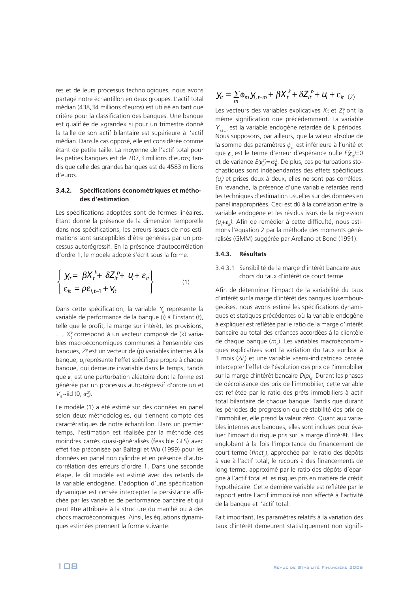res et de leurs processus technologiques, nous avons partagé notre échantillon en deux groupes. L'actif total médian (438,34 millions d'euros) est utilisé en tant que critère pour la classification des banques. Une banque est qualifiée de «grande» si pour un trimestre donné la taille de son actif bilantaire est supérieure à l'actif médian. Dans le cas opposé, elle est considérée comme étant de petite taille. La moyenne de l'actif total pour les petites banques est de 207,3 millions d'euros; tandis que celle des grandes banques est de 4583 millions d'euros.

## **3.4.2. Spécifications économétriques et méthodes d'estimation**

Les spécifications adoptées sont de formes linéaires. Etant donné la présence de la dimension temporelle dans nos spécifications, les erreurs issues de nos estimations sont susceptibles d'être générées par un processus autorégressif. En la présence d'autocorrélation d'ordre 1, le modèle adopté s'écrit sous la forme:

$$
\begin{cases}\n\mathbf{y}_{it} = \beta \mathbf{X}_t^k + \delta \mathbf{Z}_{it}^{\ p} + \mathbf{U}_i + \mathbf{\varepsilon}_{it} \\
\boldsymbol{\varepsilon}_{it} = \rho \boldsymbol{\varepsilon}_{i,t-1} + \mathbf{V}_{it}\n\end{cases}
$$
\n(1)

Dans cette spécification, la variable  $Y_{it}$  représente la variable de performance de la banque (i) à l'instant (t), telle que le profit, la marge sur intérêt, les provisions, ...,  $X_t^k$  correspond à un vecteur composé de (k) variables macroéconomiques communes à l'ensemble des banques,  $Z_t^p$ est un vecteur de (p) variables internes à la banque, *u<sub>i</sub>* représente l'effet spécifique propre à chaque banque, qui demeure invariable dans le temps, tandis que  $\varepsilon_{\mu}$  est une perturbation aléatoire dont la forme est générée par un processus auto-régressif d'ordre un et  $V_{it} \sim \text{iid } (0, \sigma_v^2)$ .

Le modèle (1) a été estimé sur des données en panel selon deux méthodologies, qui tiennent compte des caractéristiques de notre échantillon. Dans un premier temps, l'estimation est réalisée par la méthode des moindres carrés quasi-généralisés (feasible GLS) avec effet fixe préconisée par Baltagi et Wu (1999) pour les données en panel non cylindré et en présence d'autocorrélation des erreurs d'ordre 1. Dans une seconde étape, le dit modèle est estimé avec des retards de la variable endogène. L'adoption d'une spécification dynamique est censée intercepter la persistance affichée par les variables de performance bancaire et qui peut être attribuée à la structure du marché ou à des chocs macroéconomiques. Ainsi, les équations dynamiques estimées prennent la forme suivante:

$$
y_{it} = \sum_{m} \phi_m y_{i, t-m} + \beta X_t^k + \delta Z_{it}^p + u_i + \varepsilon_{it} \quad (2)
$$

Les vecteurs des variables explicatives  $X_t^k$  et  $Z_t^p$  ont la même signification que précédemment. La variable  $Y_{i,t-m}$  est la variable endogène retardée de k périodes. Nous supposons, par ailleurs, que la valeur absolue de la somme des paramètres  $\phi_m$  est inférieure à l'unité et que  $\varepsilon_{it}$  est le terme d'erreur d'espérance nulle  $E(\varepsilon_{it})=0$ et de variance  $E(\varepsilon_{it}^2)=\sigma_{\varepsilon}^2$ . De plus, ces perturbations stochastiques sont indépendantes des effets spécifiques  $(u)$  et prises deux à deux, elles ne sont pas corrélées. En revanche, la présence d'une variable retardée rend les techniques d'estimation usuelles sur des données en panel inappropriées. Ceci est dû à la corrélation entre la variable endogène et les résidus issus de la régression  $(u_j+\varepsilon_{i\ell})$ . Afin de remédier à cette difficulté, nous estimons l'équation 2 par la méthode des moments généralisés (GMM) suggérée par Arellano et Bond (1991).

#### **3.4.3. Résultats**

3.4.3.1 Sensibilité de la marge d'intérêt bancaire aux chocs du taux d'intérêt de court terme

Afin de déterminer l'impact de la variabilité du taux d'intérêt sur la marge d'intérêt des banques luxembourgeoises, nous avons estimé les spécifications dynamiques et statiques précédentes où la variable endogène à expliquer est reflétée par le ratio de la marge d'intérêt bancaire au total des créances accordées à la clientèle de chaque banque ( $m_{it}$ ). Les variables macroéconomiques explicatives sont la variation du taux euribor à 3 mois  $\langle \Delta i \rangle$  et une variable «semi-indicatrice» censée intercepter l'effet de l'évolution des prix de l'immobilier sur la marge d'intérêt bancaire Dipi<sub>it</sub>. Durant les phases de décroissance des prix de l'immobilier, cette variable est reflétée par le ratio des prêts immobiliers à actif total bilantaire de chaque banque. Tandis que durant les périodes de progression ou de stabilité des prix de l'immobilier, elle prend la valeur zéro. Quant aux variables internes aux banques, elles sont incluses pour évaluer l'impact du risque pris sur la marge d'intérêt. Elles englobent à la fois l'importance du financement de court terme (finct<sub>it</sub>), approchée par le ratio des dépôts à vue à l'actif total; le recours à des financements de long terme, approximé par le ratio des dépôts d'épargne à l'actif total et les risques pris en matière de crédit hypothécaire. Cette dernière variable est reflétée par le rapport entre l'actif immobilisé non affecté à l'activité de la banque et l'actif total.

Fait important, les paramètres relatifs à la variation des taux d'intérêt demeurent statistiquement non signifi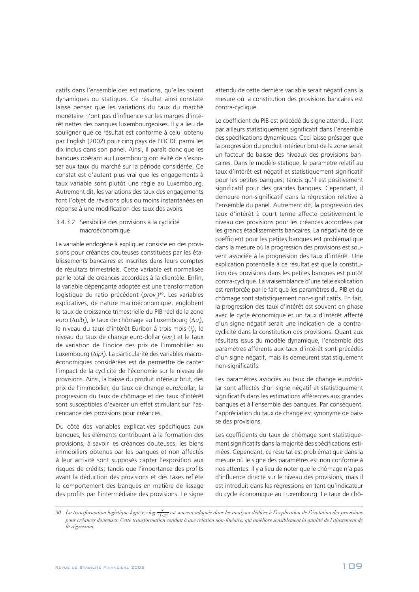catifs dans l'ensemble des estimations, qu'elles soient dynamiques ou statiques. Ce résultat ainsi constaté laisse penser que les variations du taux du marché monétaire n'ont pas d'influence sur les marges d'intérêt nettes des banques luxembourgeoises. Il y a lieu de souligner que ce résultat est conforme à celui obtenu par English (2002) pour cinq pays de l'OCDE parmi les dix inclus dans son panel. Ainsi, il paraît donc que les banques opérant au Luxembourg ont évité de s'exposer aux taux du marché sur la période considérée. Ce constat est d'autant plus vrai que les engagements à taux variable sont plutôt une règle au Luxembourg. Autrement dit, les variations des taux des engagements font l'objet de révisions plus ou moins instantanées en réponse à une modification des taux des avoirs.

## 3.4.3.2 Sensibilité des provisions à la cyclicité macroéconomique

La variable endogène à expliquer consiste en des provisions pour créances douteuses constituées par les établissements bancaires et inscrites dans leurs comptes de résultats trimestriels. Cette variable est normalisée par le total de créances accordées à la clientèle. Enfin, la variable dépendante adoptée est une transformation logistique du ratio précédent (prov<sub>i</sub>)<sup>30</sup>. Les variables explicatives, de nature macroéconomique, englobent le taux de croissance trimestrielle du PIB réel de la zone euro ( $\Delta pib_j$ ), le taux de chômage au Luxembourg ( $\Delta u_j$ ), le niveau du taux d'intérêt Euribor à trois mois (i<sub>i</sub>), le niveau du taux de change euro-dollar (exr<sub>t</sub>) et le taux de variation de l'indice des prix de l'immobilier au Luxembourg (Δ*ipi<sub>)</sub>*. La particularité des variables macroéconomiques considérées est de permettre de capter l'impact de la cyclicité de l'économie sur le niveau de provisions. Ainsi, la baisse du produit intérieur brut, des prix de l'immobilier, du taux de change euro/dollar, la progression du taux de chômage et des taux d'intérêt sont susceptibles d'exercer un effet stimulant sur l'ascendance des provisions pour créances.

Du côté des variables explicatives spécifiques aux banques, les éléments contribuant à la formation des provisions, à savoir les créances douteuses, les biens immobiliers obtenus par les banques et non affectés à leur activité sont supposés capter l'exposition aux risques de crédits; tandis que l'importance des profits avant la déduction des provisions et des taxes reflète le comportement des banques en matière de lissage des profits par l'intermédiaire des provisions. Le signe

attendu de cette dernière variable serait négatif dans la mesure où la constitution des provisions bancaires est contra-cyclique.

Le coefficient du PIB est précédé du signe attendu. Il est par ailleurs statistiquement significatif dans l'ensemble des spécifications dynamiques. Ceci laisse présager que la progression du produit intérieur brut de la zone serait un facteur de baisse des niveaux des provisions bancaires. Dans le modèle statique, le paramètre relatif au taux d'intérêt est négatif et statistiquement significatif pour les petites banques; tandis qu'il est positivement significatif pour des grandes banques. Cependant, il demeure non-significatif dans la régression relative à l'ensemble du panel. Autrement dit, la progression des taux d'intérêt à court terme affecte positivement le niveau des provisions pour les créances accordées par les grands établissements bancaires. La négativité de ce coefficient pour les petites banques est problématique dans la mesure où la progression des provisions est souvent associée à la progression des taux d'intérêt. Une explication potentielle à ce résultat est que la constitution des provisions dans les petites banques est plutôt contra-cyclique. La vraisemblance d'une telle explication est renforcée par le fait que les paramètres du PIB et du chômage sont statistiquement non-significatifs. En fait, la progression des taux d'intérêt est souvent en phase avec le cycle économique et un taux d'intérêt affecté d'un signe négatif serait une indication de la contracyclicité dans la constitution des provisions. Quant aux résultats issus du modèle dynamique, l'ensemble des paramètres afférents aux taux d'intérêt sont précédés d'un signe négatif, mais ils demeurent statistiquement non-significatifs.

Les paramètres associés au taux de change euro/dollar sont affectés d'un signe négatif et statistiquement significatifs dans les estimations afférentes aux grandes banques et à l'ensemble des banques. Par conséquent, l'appréciation du taux de change est synonyme de baisse des provisions.

Les coefficients du taux de chômage sont statistiquement significatifs dans la majorité des spécifications estimées. Cependant, ce résultat est problématique dans la mesure où le signe des paramètres est non conforme à nos attentes. Il y a lieu de noter que le chômage n'a pas d'influence directe sur le niveau des provisions, mais il est introduit dans les régressions en tant qu'indicateur du cycle économique au Luxembourg. Le taux de chô-

*<sup>30</sup> La transformation logistique logit(x)=log <sup>x</sup> (1-x) est souvent adoptée dans les analyses dédiées à l'explication de l'évolution des provisions pour créances douteuses. Cette transformation conduit à une relation non-linéaire, qui améliore sensiblement la qualité de l'ajustement de la régression.*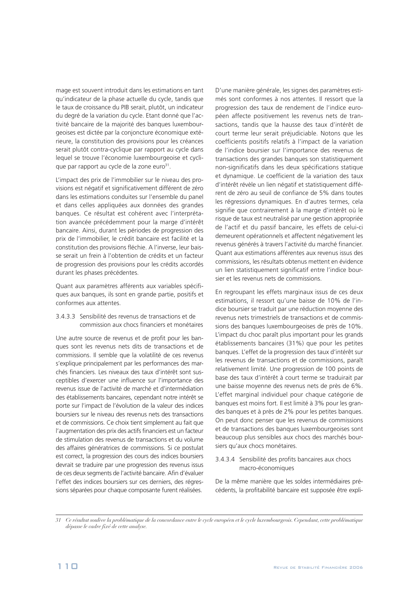mage est souvent introduit dans les estimations en tant qu'indicateur de la phase actuelle du cycle, tandis que le taux de croissance du PIB serait, plutôt, un indicateur du degré de la variation du cycle. Etant donné que l'activité bancaire de la majorité des banques luxembourgeoises est dictée par la conjoncture économique extérieure, la constitution des provisions pour les créances serait plutôt contra-cyclique par rapport au cycle dans lequel se trouve l'économie luxembourgeoise et cyclique par rapport au cycle de la zone euro<sup>31</sup>.

L'impact des prix de l'immobilier sur le niveau des provisions est négatif et significativement différent de zéro dans les estimations conduites sur l'ensemble du panel et dans celles appliquées aux données des grandes banques. Ce résultat est cohérent avec l'interprétation avancée précédemment pour la marge d'intérêt bancaire. Ainsi, durant les périodes de progression des prix de l'immobilier, le crédit bancaire est facilité et la constitution des provisions fléchie. A l'inverse, leur baisse serait un frein à l'obtention de crédits et un facteur de progression des provisions pour les crédits accordés durant les phases précédentes.

Quant aux paramètres afférents aux variables spécifiques aux banques, ils sont en grande partie, positifs et conformes aux attentes.

#### 3.4.3.3 Sensibilité des revenus de transactions et de commission aux chocs financiers et monétaires

Une autre source de revenus et de profit pour les banques sont les revenus nets dits de transactions et de commissions. Il semble que la volatilité de ces revenus s'explique principalement par les performances des marchés financiers. Les niveaux des taux d'intérêt sont susceptibles d'exercer une influence sur l'importance des revenus issue de l'activité de marché et d'intermédiation des établissements bancaires, cependant notre intérêt se porte sur l'impact de l'évolution de la valeur des indices boursiers sur le niveau des revenus nets des transactions et de commissions. Ce choix tient simplement au fait que l'augmentation des prix des actifs financiers est un facteur de stimulation des revenus de transactions et du volume des affaires génératrices de commissions. Si ce postulat est correct, la progression des cours des indices boursiers devrait se traduire par une progression des revenus issus de ces deux segments de l'activité bancaire. Afin d'évaluer l'effet des indices boursiers sur ces derniers, des régressions séparées pour chaque composante furent réalisées.

D'une manière générale, les signes des paramètres estimés sont conformes à nos attentes. Il ressort que la progression des taux de rendement de l'indice européen affecte positivement les revenus nets de transactions, tandis que la hausse des taux d'intérêt de court terme leur serait préjudiciable. Notons que les coefficients positifs relatifs à l'impact de la variation de l'indice boursier sur l'importance des revenus de transactions des grandes banques son statistiquement non-significatifs dans les deux spécifications statique et dynamique. Le coefficient de la variation des taux d'intérêt révèle un lien négatif et statistiquement différent de zéro au seuil de confiance de 5% dans toutes les régressions dynamiques. En d'autres termes, cela signifie que contrairement à la marge d'intérêt où le risque de taux est neutralisé par une gestion appropriée de l'actif et du passif bancaire, les effets de celui-ci demeurent opérationnels et affectent négativement les revenus générés à travers l'activité du marché financier. Quant aux estimations afférentes aux revenus issus des commissions, les résultats obtenus mettent en évidence un lien statistiquement significatif entre l'indice boursier et les revenus nets de commissions.

En regroupant les effets marginaux issus de ces deux estimations, il ressort qu'une baisse de 10% de l'indice boursier se traduit par une réduction moyenne des revenus nets trimestriels de transactions et de commissions des banques luxembourgeoises de près de 10%. L'impact du choc paraît plus important pour les grands établissements bancaires (31%) que pour les petites banques. L'effet de la progression des taux d'intérêt sur les revenus de transactions et de commissions, paraît relativement limité. Une progression de 100 points de base des taux d'intérêt à court terme se traduirait par une baisse moyenne des revenus nets de près de 6%. L'effet marginal individuel pour chaque catégorie de banques est moins fort. Il est limité à 3% pour les grandes banques et à près de 2% pour les petites banques. On peut donc penser que les revenus de commissions et de transactions des banques luxembourgeoises sont beaucoup plus sensibles aux chocs des marchés boursiers qu'aux chocs monétaires.

## 3.4.3.4 Sensibilité des profits bancaires aux chocs macro-économiques

De la même manière que les soldes intermédiaires précédents, la profitabilité bancaire est supposée être expli-

<sup>31</sup> Ce résultat soulève la problématique de la concordance entre le cycle européen et le cycle luxembourgeois. Cependant, cette problématique *dépasse le cadre fixé de cette analyse.*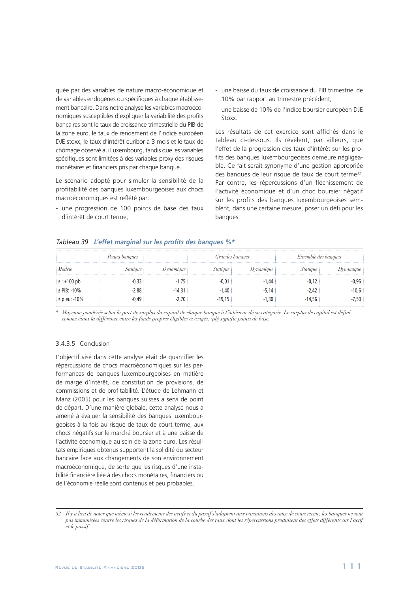quée par des variables de nature macro-économique et de variables endogènes ou spécifiques à chaque établissement bancaire. Dans notre analyse les variables macroéconomiques susceptibles d'expliquer la variabilité des profits bancaires sont le taux de croissance trimestrielle du PIB de la zone euro, le taux de rendement de l'indice européen DJE stoxx, le taux d'intérêt euribor à 3 mois et le taux de chômage observé au Luxembourg, tandis que les variables spécifiques sont limitées à des variables proxy des risques monétaires et financiers pris par chaque banque.

Le scénario adopté pour simuler la sensibilité de la profitabilité des banques luxembourgeoises aux chocs macroéconomiques est reflété par:

- une progression de 100 points de base des taux d'intérêt de court terme,

- une baisse du taux de croissance du PIB trimestriel de 10% par rapport au trimestre précédent,
- une baisse de 10% de l'indice boursier européen DJE Stoxx.

Les résultats de cet exercice sont affichés dans le tableau ci-dessous. Ils révèlent, par ailleurs, que l'effet de la progression des taux d'intérêt sur les profits des banques luxembourgeoises demeure négligeable. Ce fait serait synonyme d'une gestion appropriée des banques de leur risque de taux de court terme<sup>32</sup>. Par contre, les répercussions d'un fléchissement de l'activité économique et d'un choc boursier négatif sur les profits des banques luxembourgeoises semblent, dans une certaine mesure, poser un défi pour les banques.

## *Tableau 39 L'effet marginal sur les profits des banques %\**

|                      | Petites banques |                         | <i>Grandes banques</i> |           | <i>Ensemble des banques</i> |                         |
|----------------------|-----------------|-------------------------|------------------------|-----------|-----------------------------|-------------------------|
| Modèle               | Statiaue        | <i><b>Dynamique</b></i> | Statique               | Dynamıque | <i>Statique</i>             | <i><b>Iynamique</b></i> |
| $\Delta i$ : +100 pb |                 | $-1.75$                 | -0.01                  | -1.44     |                             |                         |
| ≟∆ PIB: -10%         | 2.88            | $-14.31$                | $-1.40$                | $-5.14$   | $2.42^{\circ}$              |                         |
| $\Delta$ pieu: -10%  | 0.49            | $-2.70$                 | $-19.15:$              | $-1.30$   | $-14,56$                    |                         |

\* Moyenne pondérée selon la part de surplus du capital de chaque banque à l'intérieur de sa catégorie. Le surplus de capital est défini *comme étant la différence entre les fonds propres éligibles et exigés. (pb) signifie points de base.*

## 3.4.3.5 Conclusion

L'objectif visé dans cette analyse était de quantifier les répercussions de chocs macroéconomiques sur les performances de banques luxembourgeoises en matière de marge d'intérêt, de constitution de provisions, de commissions et de profitabilité. L'étude de Lehmann et Manz (2005) pour les banques suisses a servi de point de départ. D'une manière globale, cette analyse nous a amené à évaluer la sensibilité des banques luxembourgeoises à la fois au risque de taux de court terme, aux chocs négatifs sur le marché boursier et à une baisse de l'activité économique au sein de la zone euro. Les résultats empiriques obtenus supportent la solidité du secteur bancaire face aux changements de son environnement macroéconomique, de sorte que les risques d'une instabilité financière liée à des chocs monétaires, financiers ou de l'économie réelle sont contenus et peu probables.

*<sup>32</sup> Il y a lieu de noter que même si les rendements des actifs et du passif s'adaptent aux variations des taux de court terme, les banques ne sont pas immunisées contre les risques de la déformation de la courbe des taux dont les répercussions produisent des effets différents sur l'actif et le passif.*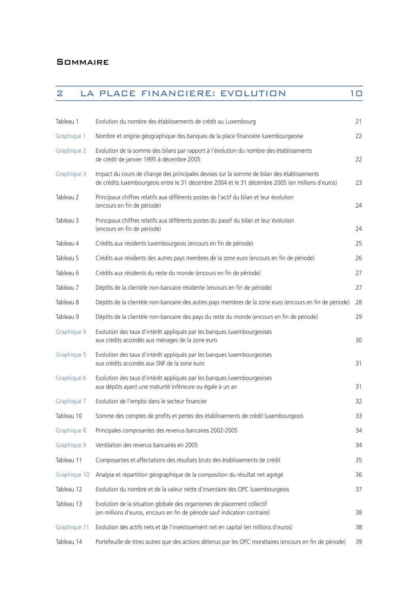| 2            | LA PLACE FINANCIERE: EVOLUTION                                                                                                                                                                 | 10 |
|--------------|------------------------------------------------------------------------------------------------------------------------------------------------------------------------------------------------|----|
|              |                                                                                                                                                                                                |    |
| Tableau 1    | Evolution du nombre des établissements de crédit au Luxembourg                                                                                                                                 | 21 |
| Graphique 1  | Nombre et origine géographique des banques de la place financière luxembourgeoise                                                                                                              | 22 |
| Graphique 2  | Evolution de la somme des bilans par rapport à l'évolution du nombre des établissements<br>de crédit de janvier 1995 à décembre 2005                                                           | 22 |
| Graphique 3  | Impact du cours de change des principales devises sur la somme de bilan des établissements<br>de crédits luxembourgeois entre le 31 décembre 2004 et le 31 décembre 2005 (en millions d'euros) | 23 |
| Tableau 2    | Principaux chiffres relatifs aux différents postes de l'actif du bilan et leur évolution<br>(encours en fin de période)                                                                        | 24 |
| Tableau 3    | Principaux chiffres relatifs aux différents postes du passif du bilan et leur évolution<br>(encours en fin de période)                                                                         | 24 |
| Tableau 4    | Crédits aux résidents luxembourgeois (encours en fin de période)                                                                                                                               | 25 |
| Tableau 5    | Crédits aux résidents des autres pays membres de la zone euro (encours en fin de période)                                                                                                      | 26 |
| Tableau 6    | Crédits aux résidents du reste du monde (encours en fin de période)                                                                                                                            | 27 |
| Tableau 7    | Dépôts de la clientèle non-bancaire résidente (encours en fin de période)                                                                                                                      | 27 |
| Tableau 8    | Dépôts de la clientèle non-bancaire des autres pays membres de la zone euro (encours en fin de période)                                                                                        | 28 |
| Tableau 9    | Dépôts de la clientèle non-bancaire des pays du reste du monde (encours en fin de période)                                                                                                     | 29 |
| Graphique 4  | Evolution des taux d'intérêt appliqués par les banques luxembourgeoises<br>aux crédits accordés aux ménages de la zone euro                                                                    | 30 |
| Graphique 5  | Evolution des taux d'intérêt appliqués par les banques luxembourgeoises<br>aux crédits accordés aux SNF de la zone euro                                                                        | 31 |
| Graphique 6  | Evolution des taux d'intérêt appliqués par les banques luxembourgeoises<br>aux dépôts ayant une maturité inférieure ou égale à un an                                                           | 31 |
| Graphique 7  | Evolution de l'emploi dans le secteur financier                                                                                                                                                | 32 |
| Tableau 10   | Somme des comptes de profits et pertes des établissements de crédit luxembourgeois                                                                                                             | 33 |
| Graphique 8  | Principales composantes des revenus bancaires 2002-2005                                                                                                                                        | 34 |
| Graphique 9  | Ventilation des revenus bancaires en 2005                                                                                                                                                      | 34 |
| Tableau 11   | Composantes et affectations des résultats bruts des établissements de crédit                                                                                                                   | 35 |
| Graphique 10 | Analyse et répartition géographique de la composition du résultat net agrégé                                                                                                                   | 36 |
| Tableau 12   | Evolution du nombre et de la valeur nette d'inventaire des OPC luxembourgeois                                                                                                                  | 37 |
| Tableau 13   | Evolution de la situation globale des organismes de placement collectif<br>(en millions d'euros, encours en fin de période sauf indication contraire)                                          | 38 |
| Graphique 11 | Evolution des actifs nets et de l'investissement net en capital (en millions d'euros)                                                                                                          | 38 |
| Tableau 14   | Portefeuille de titres autres que des actions détenus par les OPC monétaires (encours en fin de période)                                                                                       | 39 |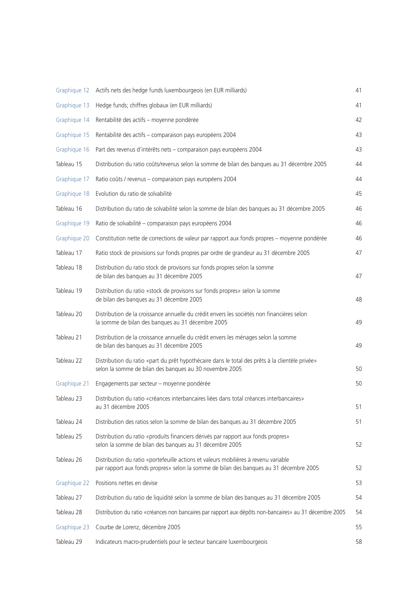|              | Graphique 12 Actifs nets des hedge funds luxembourgeois (en EUR milliards)                                                                                                    | 41 |
|--------------|-------------------------------------------------------------------------------------------------------------------------------------------------------------------------------|----|
| Graphique 13 | Hedge funds; chiffres globaux (en EUR milliards)                                                                                                                              | 41 |
| Graphique 14 | Rentabilité des actifs - moyenne pondérée                                                                                                                                     | 42 |
| Graphique 15 | Rentabilité des actifs - comparaison pays européens 2004                                                                                                                      | 43 |
| Graphique 16 | Part des revenus d'intérêts nets - comparaison pays européens 2004                                                                                                            | 43 |
| Tableau 15   | Distribution du ratio coûts/revenus selon la somme de bilan des banques au 31 décembre 2005                                                                                   | 44 |
| Graphique 17 | Ratio coûts / revenus - comparaison pays européens 2004                                                                                                                       | 44 |
| Graphique 18 | Evolution du ratio de solvabilité                                                                                                                                             | 45 |
| Tableau 16   | Distribution du ratio de solvabilité selon la somme de bilan des banques au 31 décembre 2005                                                                                  | 46 |
| Graphique 19 | Ratio de solvabilité - comparaison pays européens 2004                                                                                                                        | 46 |
| Graphique 20 | Constitution nette de corrections de valeur par rapport aux fonds propres - moyenne pondérée                                                                                  | 46 |
| Tableau 17   | Ratio stock de provisions sur fonds propres par ordre de grandeur au 31 décembre 2005                                                                                         | 47 |
| Tableau 18   | Distribution du ratio stock de provisons sur fonds propres selon la somme<br>de bilan des banques au 31 décembre 2005                                                         | 47 |
| Tableau 19   | Distribution du ratio «stock de provisons sur fonds propres» selon la somme<br>de bilan des banques au 31 décembre 2005                                                       | 48 |
| Tableau 20   | Distribution de la croissance annuelle du crédit envers les sociétés non financières selon<br>la somme de bilan des banques au 31 décembre 2005                               | 49 |
| Tableau 21   | Distribution de la croissance annuelle du crédit envers les ménages selon la somme<br>de bilan des banques au 31 décembre 2005                                                | 49 |
| Tableau 22   | Distribution du ratio «part du prêt hypothécaire dans le total des prêts à la clientèle privée»<br>selon la somme de bilan des banques au 30 novembre 2005                    | 50 |
| Graphique 21 | Engagements par secteur - moyenne pondérée                                                                                                                                    | 50 |
| Tableau 23   | Distribution du ratio «créances interbancaires liées dans total créances interbancaires»<br>au 31 décembre 2005                                                               | 51 |
| Tableau 24   | Distribution des ratios selon la somme de bilan des banques au 31 décembre 2005                                                                                               | 51 |
| Tableau 25   | Distribution du ratio «produits financiers dérivés par rapport aux fonds propres»<br>selon la somme de bilan des banques au 31 décembre 2005                                  | 52 |
| Tableau 26   | Distribution du ratio «portefeuille actions et valeurs mobilières à revenu variable<br>par rapport aux fonds propres» selon la somme de bilan des banques au 31 décembre 2005 | 52 |
| Graphique 22 | Positions nettes en devise                                                                                                                                                    | 53 |
| Tableau 27   | Distribution du ratio de liquidité selon la somme de bilan des banques au 31 décembre 2005                                                                                    | 54 |
| Tableau 28   | Distribution du ratio «créances non bancaires par rapport aux dépôts non-bancaires» au 31 décembre 2005                                                                       | 54 |
| Graphique 23 | Courbe de Lorenz, décembre 2005                                                                                                                                               | 55 |
| Tableau 29   | Indicateurs macro-prudentiels pour le secteur bancaire luxembourgeois                                                                                                         | 58 |